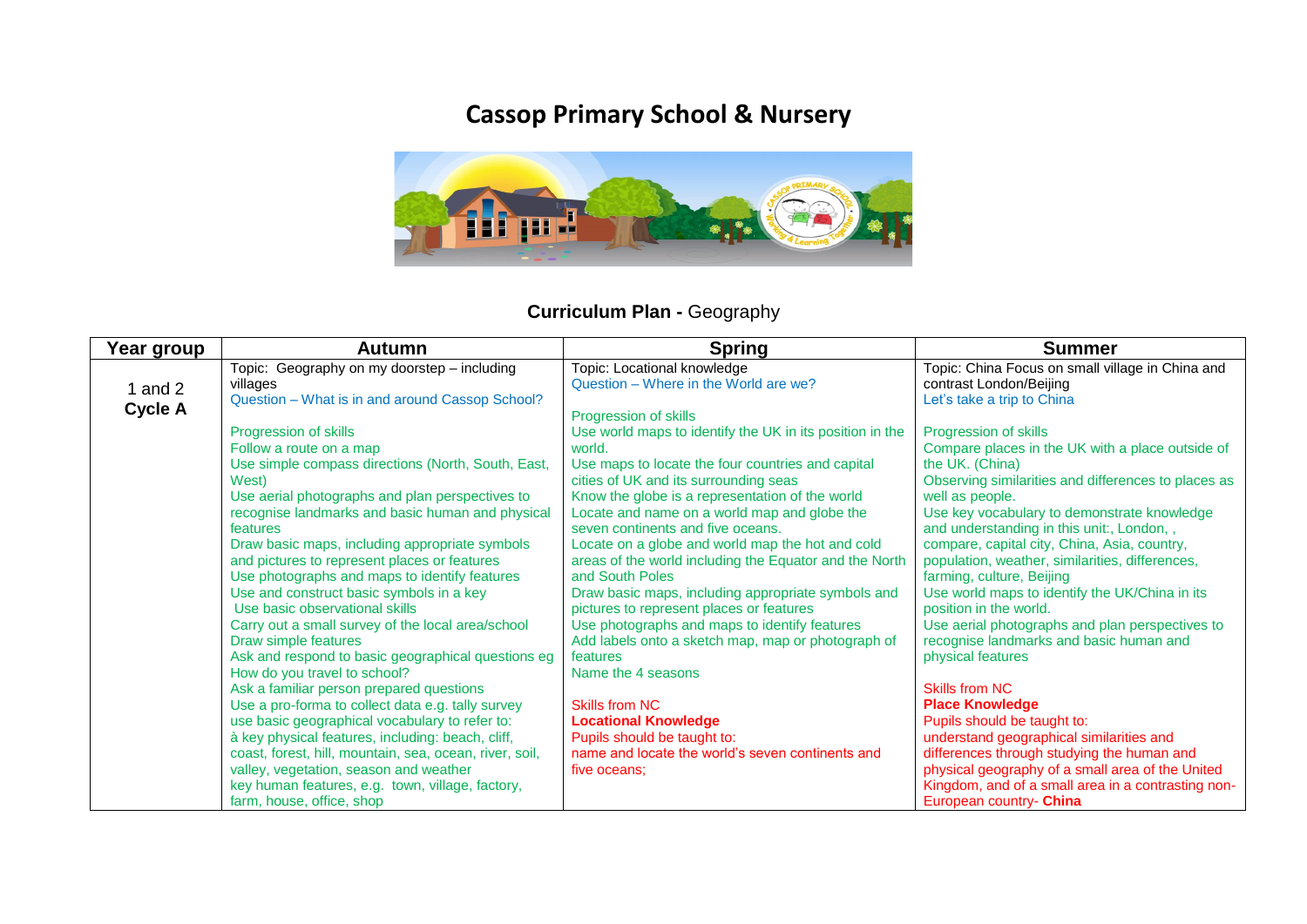## **Cassop Primary School & Nursery**



## **Curriculum Plan -** Geography

| Year group     | Autumn                                                                                                                                                                                                                                                                                                                                                                                                                                                                                                                                                                                                                                                                                                                                                                                                                                                                                                                                                                                                 | <b>Spring</b>                                                                                                                                                                                                                                                                                                                                                                                                                                                                                                                                                                                                                                                                                                                                                                                                                                                     | <b>Summer</b>                                                                                                                                                                                                                                                                                                                                                                                                                                                                                                                                                                                                                                                                                                                                                                                                                                                   |
|----------------|--------------------------------------------------------------------------------------------------------------------------------------------------------------------------------------------------------------------------------------------------------------------------------------------------------------------------------------------------------------------------------------------------------------------------------------------------------------------------------------------------------------------------------------------------------------------------------------------------------------------------------------------------------------------------------------------------------------------------------------------------------------------------------------------------------------------------------------------------------------------------------------------------------------------------------------------------------------------------------------------------------|-------------------------------------------------------------------------------------------------------------------------------------------------------------------------------------------------------------------------------------------------------------------------------------------------------------------------------------------------------------------------------------------------------------------------------------------------------------------------------------------------------------------------------------------------------------------------------------------------------------------------------------------------------------------------------------------------------------------------------------------------------------------------------------------------------------------------------------------------------------------|-----------------------------------------------------------------------------------------------------------------------------------------------------------------------------------------------------------------------------------------------------------------------------------------------------------------------------------------------------------------------------------------------------------------------------------------------------------------------------------------------------------------------------------------------------------------------------------------------------------------------------------------------------------------------------------------------------------------------------------------------------------------------------------------------------------------------------------------------------------------|
| and 2          | Topic: Geography on my doorstep - including<br>villages                                                                                                                                                                                                                                                                                                                                                                                                                                                                                                                                                                                                                                                                                                                                                                                                                                                                                                                                                | Topic: Locational knowledge<br>Question - Where in the World are we?                                                                                                                                                                                                                                                                                                                                                                                                                                                                                                                                                                                                                                                                                                                                                                                              | Topic: China Focus on small village in China and<br>contrast London/Beijing                                                                                                                                                                                                                                                                                                                                                                                                                                                                                                                                                                                                                                                                                                                                                                                     |
| <b>Cycle A</b> | Question - What is in and around Cassop School?<br>Progression of skills<br>Follow a route on a map<br>Use simple compass directions (North, South, East,<br>West)<br>Use aerial photographs and plan perspectives to<br>recognise landmarks and basic human and physical<br>features<br>Draw basic maps, including appropriate symbols<br>and pictures to represent places or features<br>Use photographs and maps to identify features<br>Use and construct basic symbols in a key<br>Use basic observational skills<br>Carry out a small survey of the local area/school<br>Draw simple features<br>Ask and respond to basic geographical questions eg<br>How do you travel to school?<br>Ask a familiar person prepared questions<br>Use a pro-forma to collect data e.g. tally survey<br>use basic geographical vocabulary to refer to:<br>à key physical features, including: beach, cliff,<br>coast, forest, hill, mountain, sea, ocean, river, soil,<br>valley, vegetation, season and weather | Progression of skills<br>Use world maps to identify the UK in its position in the<br>world.<br>Use maps to locate the four countries and capital<br>cities of UK and its surrounding seas<br>Know the globe is a representation of the world<br>Locate and name on a world map and globe the<br>seven continents and five oceans.<br>Locate on a globe and world map the hot and cold<br>areas of the world including the Equator and the North<br>and South Poles<br>Draw basic maps, including appropriate symbols and<br>pictures to represent places or features<br>Use photographs and maps to identify features<br>Add labels onto a sketch map, map or photograph of<br>features<br>Name the 4 seasons<br>Skills from NC<br><b>Locational Knowledge</b><br>Pupils should be taught to:<br>name and locate the world's seven continents and<br>five oceans: | Let's take a trip to China<br>Progression of skills<br>Compare places in the UK with a place outside of<br>the UK. (China)<br>Observing similarities and differences to places as<br>well as people.<br>Use key vocabulary to demonstrate knowledge<br>and understanding in this unit:, London,,<br>compare, capital city, China, Asia, country,<br>population, weather, similarities, differences,<br>farming, culture, Beijing<br>Use world maps to identify the UK/China in its<br>position in the world.<br>Use aerial photographs and plan perspectives to<br>recognise landmarks and basic human and<br>physical features<br><b>Skills from NC</b><br><b>Place Knowledge</b><br>Pupils should be taught to:<br>understand geographical similarities and<br>differences through studying the human and<br>physical geography of a small area of the United |
|                | key human features, e.g. town, village, factory,<br>farm, house, office, shop                                                                                                                                                                                                                                                                                                                                                                                                                                                                                                                                                                                                                                                                                                                                                                                                                                                                                                                          |                                                                                                                                                                                                                                                                                                                                                                                                                                                                                                                                                                                                                                                                                                                                                                                                                                                                   | Kingdom, and of a small area in a contrasting non-<br>European country- China                                                                                                                                                                                                                                                                                                                                                                                                                                                                                                                                                                                                                                                                                                                                                                                   |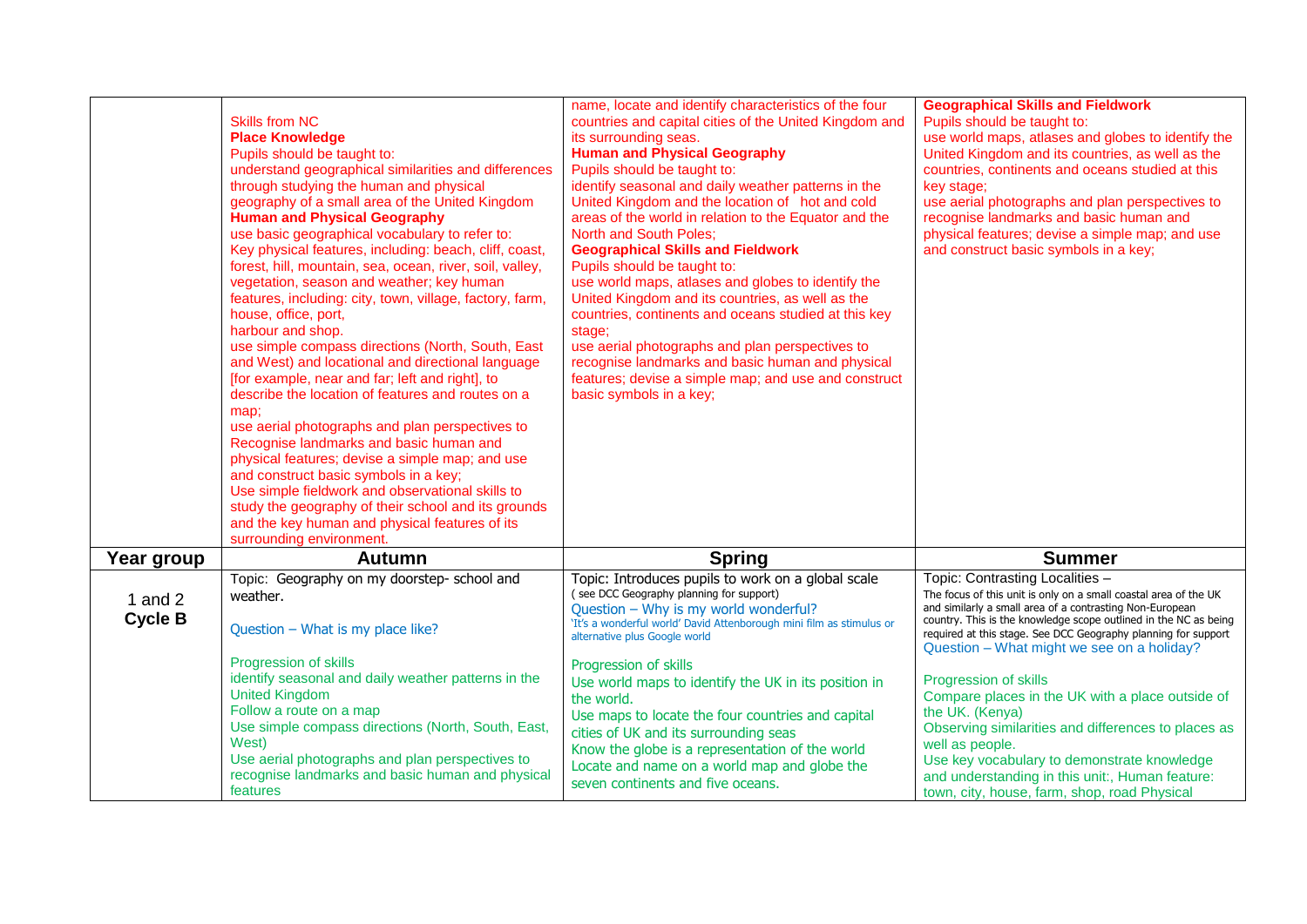|                             | <b>Skills from NC</b><br><b>Place Knowledge</b><br>Pupils should be taught to:<br>understand geographical similarities and differences<br>through studying the human and physical<br>geography of a small area of the United Kingdom<br><b>Human and Physical Geography</b><br>use basic geographical vocabulary to refer to:<br>Key physical features, including: beach, cliff, coast,<br>forest, hill, mountain, sea, ocean, river, soil, valley,<br>vegetation, season and weather; key human<br>features, including: city, town, village, factory, farm,<br>house, office, port,<br>harbour and shop.<br>use simple compass directions (North, South, East<br>and West) and locational and directional language<br>[for example, near and far; left and right], to<br>describe the location of features and routes on a<br>map;<br>use aerial photographs and plan perspectives to<br>Recognise landmarks and basic human and<br>physical features; devise a simple map; and use<br>and construct basic symbols in a key;<br>Use simple fieldwork and observational skills to<br>study the geography of their school and its grounds<br>and the key human and physical features of its<br>surrounding environment. | name, locate and identify characteristics of the four<br>countries and capital cities of the United Kingdom and<br>its surrounding seas.<br><b>Human and Physical Geography</b><br>Pupils should be taught to:<br>identify seasonal and daily weather patterns in the<br>United Kingdom and the location of hot and cold<br>areas of the world in relation to the Equator and the<br><b>North and South Poles;</b><br><b>Geographical Skills and Fieldwork</b><br>Pupils should be taught to:<br>use world maps, atlases and globes to identify the<br>United Kingdom and its countries, as well as the<br>countries, continents and oceans studied at this key<br>stage;<br>use aerial photographs and plan perspectives to<br>recognise landmarks and basic human and physical<br>features; devise a simple map; and use and construct<br>basic symbols in a key; | <b>Geographical Skills and Fieldwork</b><br>Pupils should be taught to:<br>use world maps, atlases and globes to identify the<br>United Kingdom and its countries, as well as the<br>countries, continents and oceans studied at this<br>key stage:<br>use aerial photographs and plan perspectives to<br>recognise landmarks and basic human and<br>physical features; devise a simple map; and use<br>and construct basic symbols in a key; |
|-----------------------------|------------------------------------------------------------------------------------------------------------------------------------------------------------------------------------------------------------------------------------------------------------------------------------------------------------------------------------------------------------------------------------------------------------------------------------------------------------------------------------------------------------------------------------------------------------------------------------------------------------------------------------------------------------------------------------------------------------------------------------------------------------------------------------------------------------------------------------------------------------------------------------------------------------------------------------------------------------------------------------------------------------------------------------------------------------------------------------------------------------------------------------------------------------------------------------------------------------------------|---------------------------------------------------------------------------------------------------------------------------------------------------------------------------------------------------------------------------------------------------------------------------------------------------------------------------------------------------------------------------------------------------------------------------------------------------------------------------------------------------------------------------------------------------------------------------------------------------------------------------------------------------------------------------------------------------------------------------------------------------------------------------------------------------------------------------------------------------------------------|-----------------------------------------------------------------------------------------------------------------------------------------------------------------------------------------------------------------------------------------------------------------------------------------------------------------------------------------------------------------------------------------------------------------------------------------------|
| Year group                  | <b>Autumn</b>                                                                                                                                                                                                                                                                                                                                                                                                                                                                                                                                                                                                                                                                                                                                                                                                                                                                                                                                                                                                                                                                                                                                                                                                          | <b>Spring</b>                                                                                                                                                                                                                                                                                                                                                                                                                                                                                                                                                                                                                                                                                                                                                                                                                                                       | <b>Summer</b>                                                                                                                                                                                                                                                                                                                                                                                                                                 |
| 1 and $2$<br><b>Cycle B</b> | Topic: Geography on my doorstep- school and<br>weather.<br>Question - What is my place like?                                                                                                                                                                                                                                                                                                                                                                                                                                                                                                                                                                                                                                                                                                                                                                                                                                                                                                                                                                                                                                                                                                                           | Topic: Introduces pupils to work on a global scale<br>(see DCC Geography planning for support)<br>Question - Why is my world wonderful?<br>'It's a wonderful world' David Attenborough mini film as stimulus or<br>alternative plus Google world                                                                                                                                                                                                                                                                                                                                                                                                                                                                                                                                                                                                                    | Topic: Contrasting Localities -<br>The focus of this unit is only on a small coastal area of the UK<br>and similarly a small area of a contrasting Non-European<br>country. This is the knowledge scope outlined in the NC as being<br>required at this stage. See DCC Geography planning for support<br>Question - What might we see on a holiday?                                                                                           |
|                             | Progression of skills<br>identify seasonal and daily weather patterns in the<br><b>United Kingdom</b><br>Follow a route on a map<br>Use simple compass directions (North, South, East,<br>West)<br>Use aerial photographs and plan perspectives to<br>recognise landmarks and basic human and physical<br>features                                                                                                                                                                                                                                                                                                                                                                                                                                                                                                                                                                                                                                                                                                                                                                                                                                                                                                     | Progression of skills<br>Use world maps to identify the UK in its position in<br>the world.<br>Use maps to locate the four countries and capital<br>cities of UK and its surrounding seas<br>Know the globe is a representation of the world<br>Locate and name on a world map and globe the<br>seven continents and five oceans.                                                                                                                                                                                                                                                                                                                                                                                                                                                                                                                                   | Progression of skills<br>Compare places in the UK with a place outside of<br>the UK. (Kenya)<br>Observing similarities and differences to places as<br>well as people.<br>Use key vocabulary to demonstrate knowledge<br>and understanding in this unit:, Human feature:<br>town, city, house, farm, shop, road Physical                                                                                                                      |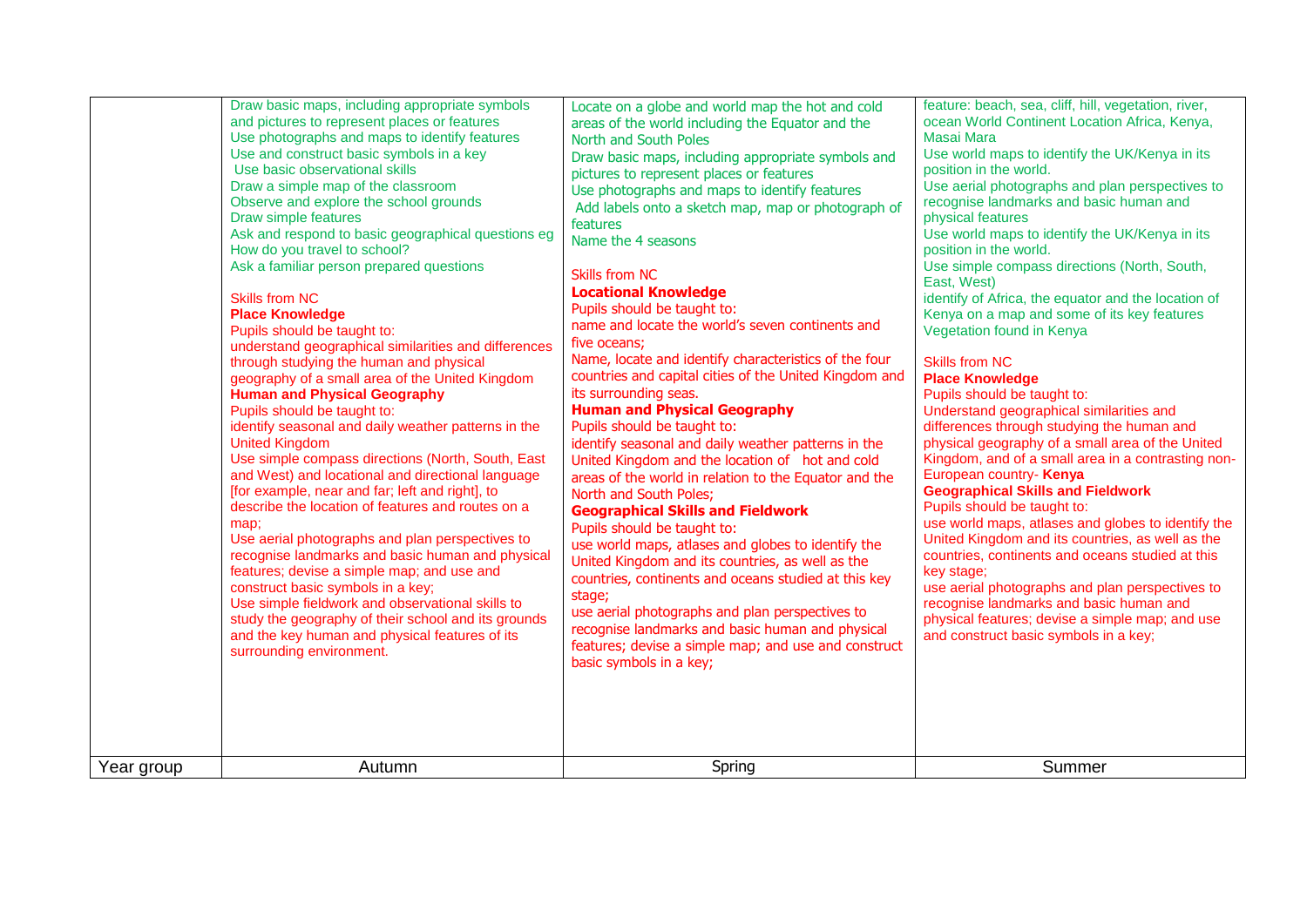| Year group | Draw basic maps, including appropriate symbols<br>and pictures to represent places or features<br>Use photographs and maps to identify features<br>Use and construct basic symbols in a key<br>Use basic observational skills<br>Draw a simple map of the classroom<br>Observe and explore the school grounds<br>Draw simple features<br>Ask and respond to basic geographical questions eg<br>How do you travel to school?<br>Ask a familiar person prepared questions<br><b>Skills from NC</b><br><b>Place Knowledge</b><br>Pupils should be taught to:<br>understand geographical similarities and differences<br>through studying the human and physical<br>geography of a small area of the United Kingdom<br><b>Human and Physical Geography</b><br>Pupils should be taught to:<br>identify seasonal and daily weather patterns in the<br><b>United Kingdom</b><br>Use simple compass directions (North, South, East<br>and West) and locational and directional language<br>[for example, near and far; left and right], to<br>describe the location of features and routes on a<br>map;<br>Use aerial photographs and plan perspectives to<br>recognise landmarks and basic human and physical<br>features; devise a simple map; and use and<br>construct basic symbols in a key;<br>Use simple fieldwork and observational skills to<br>study the geography of their school and its grounds<br>and the key human and physical features of its<br>surrounding environment.<br>Autumn | Locate on a globe and world map the hot and cold<br>areas of the world including the Equator and the<br>North and South Poles<br>Draw basic maps, including appropriate symbols and<br>pictures to represent places or features<br>Use photographs and maps to identify features<br>Add labels onto a sketch map, map or photograph of<br>features<br>Name the 4 seasons<br><b>Skills from NC</b><br><b>Locational Knowledge</b><br>Pupils should be taught to:<br>name and locate the world's seven continents and<br>five oceans;<br>Name, locate and identify characteristics of the four<br>countries and capital cities of the United Kingdom and<br>its surrounding seas.<br><b>Human and Physical Geography</b><br>Pupils should be taught to:<br>identify seasonal and daily weather patterns in the<br>United Kingdom and the location of hot and cold<br>areas of the world in relation to the Equator and the<br>North and South Poles;<br><b>Geographical Skills and Fieldwork</b><br>Pupils should be taught to:<br>use world maps, atlases and globes to identify the<br>United Kingdom and its countries, as well as the<br>countries, continents and oceans studied at this key<br>stage;<br>use aerial photographs and plan perspectives to<br>recognise landmarks and basic human and physical<br>features; devise a simple map; and use and construct<br>basic symbols in a key;<br>Spring | feature: beach, sea, cliff, hill, vegetation, river,<br>ocean World Continent Location Africa, Kenya,<br><b>Masai Mara</b><br>Use world maps to identify the UK/Kenya in its<br>position in the world.<br>Use aerial photographs and plan perspectives to<br>recognise landmarks and basic human and<br>physical features<br>Use world maps to identify the UK/Kenya in its<br>position in the world.<br>Use simple compass directions (North, South,<br>East, West)<br>identify of Africa, the equator and the location of<br>Kenya on a map and some of its key features<br>Vegetation found in Kenya<br><b>Skills from NC</b><br><b>Place Knowledge</b><br>Pupils should be taught to:<br>Understand geographical similarities and<br>differences through studying the human and<br>physical geography of a small area of the United<br>Kingdom, and of a small area in a contrasting non-<br>European country- Kenya<br><b>Geographical Skills and Fieldwork</b><br>Pupils should be taught to:<br>use world maps, atlases and globes to identify the<br>United Kingdom and its countries, as well as the<br>countries, continents and oceans studied at this<br>key stage;<br>use aerial photographs and plan perspectives to<br>recognise landmarks and basic human and<br>physical features; devise a simple map; and use<br>and construct basic symbols in a key;<br>Summer |
|------------|----------------------------------------------------------------------------------------------------------------------------------------------------------------------------------------------------------------------------------------------------------------------------------------------------------------------------------------------------------------------------------------------------------------------------------------------------------------------------------------------------------------------------------------------------------------------------------------------------------------------------------------------------------------------------------------------------------------------------------------------------------------------------------------------------------------------------------------------------------------------------------------------------------------------------------------------------------------------------------------------------------------------------------------------------------------------------------------------------------------------------------------------------------------------------------------------------------------------------------------------------------------------------------------------------------------------------------------------------------------------------------------------------------------------------------------------------------------------------------------------|---------------------------------------------------------------------------------------------------------------------------------------------------------------------------------------------------------------------------------------------------------------------------------------------------------------------------------------------------------------------------------------------------------------------------------------------------------------------------------------------------------------------------------------------------------------------------------------------------------------------------------------------------------------------------------------------------------------------------------------------------------------------------------------------------------------------------------------------------------------------------------------------------------------------------------------------------------------------------------------------------------------------------------------------------------------------------------------------------------------------------------------------------------------------------------------------------------------------------------------------------------------------------------------------------------------------------------------------------------------------------------------------------------------|-------------------------------------------------------------------------------------------------------------------------------------------------------------------------------------------------------------------------------------------------------------------------------------------------------------------------------------------------------------------------------------------------------------------------------------------------------------------------------------------------------------------------------------------------------------------------------------------------------------------------------------------------------------------------------------------------------------------------------------------------------------------------------------------------------------------------------------------------------------------------------------------------------------------------------------------------------------------------------------------------------------------------------------------------------------------------------------------------------------------------------------------------------------------------------------------------------------------------------------------------------------------------------------------------------------------------------------------------------------------------------------|
|            |                                                                                                                                                                                                                                                                                                                                                                                                                                                                                                                                                                                                                                                                                                                                                                                                                                                                                                                                                                                                                                                                                                                                                                                                                                                                                                                                                                                                                                                                                              |                                                                                                                                                                                                                                                                                                                                                                                                                                                                                                                                                                                                                                                                                                                                                                                                                                                                                                                                                                                                                                                                                                                                                                                                                                                                                                                                                                                                               |                                                                                                                                                                                                                                                                                                                                                                                                                                                                                                                                                                                                                                                                                                                                                                                                                                                                                                                                                                                                                                                                                                                                                                                                                                                                                                                                                                                     |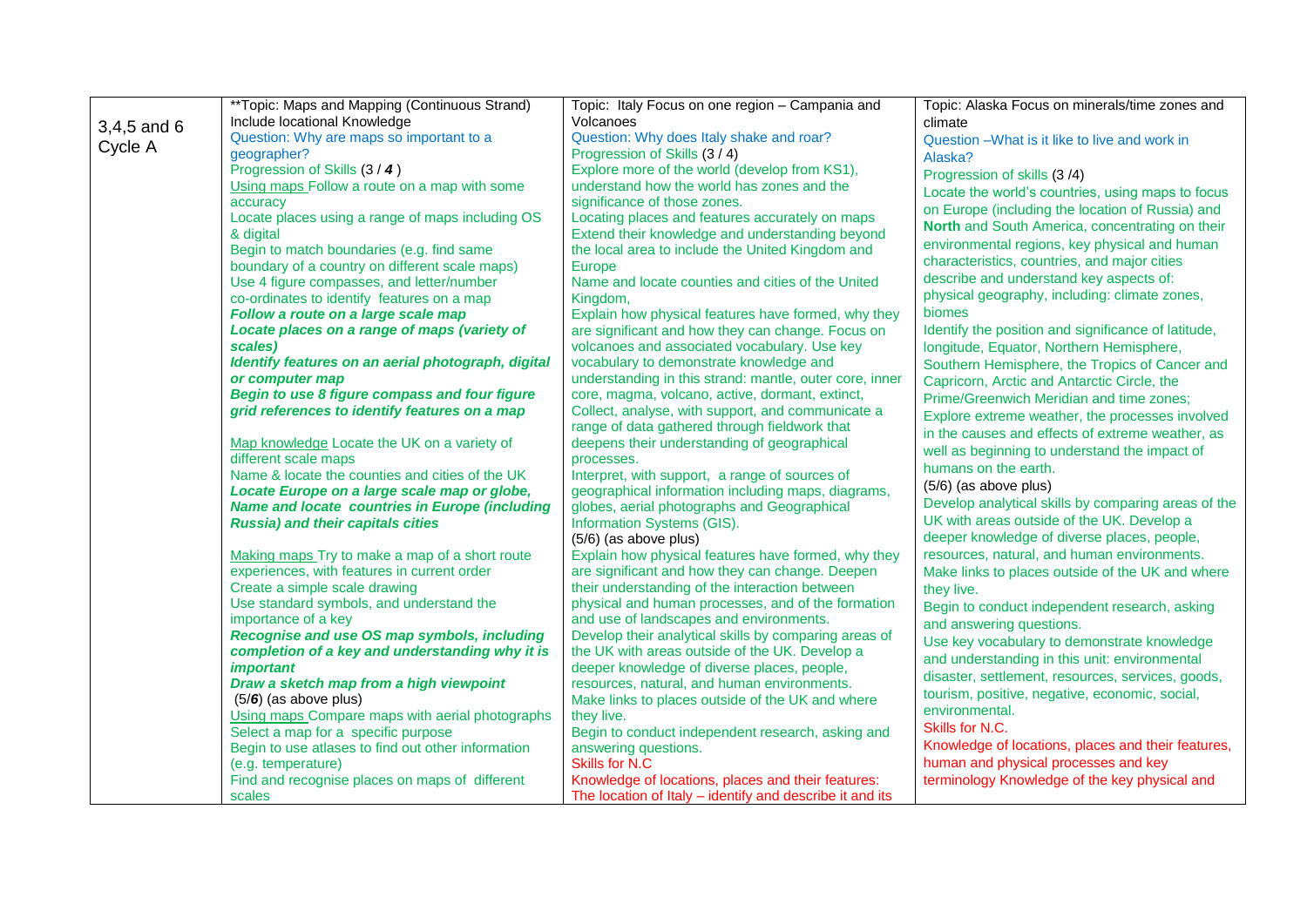|             | **Topic: Maps and Mapping (Continuous Strand)                       | Topic: Italy Focus on one region - Campania and              | Topic: Alaska Focus on minerals/time zones and      |
|-------------|---------------------------------------------------------------------|--------------------------------------------------------------|-----------------------------------------------------|
| 3,4,5 and 6 | Include locational Knowledge                                        | Volcanoes                                                    | climate                                             |
|             | Question: Why are maps so important to a                            | Question: Why does Italy shake and roar?                     | Question - What is it like to live and work in      |
| Cycle A     | geographer?                                                         | Progression of Skills (3/4)                                  | Alaska?                                             |
|             | Progression of Skills (3 / 4)                                       | Explore more of the world (develop from KS1),                | Progression of skills (3/4)                         |
|             | Using maps Follow a route on a map with some                        | understand how the world has zones and the                   | Locate the world's countries, using maps to focus   |
|             | accuracy                                                            | significance of those zones.                                 | on Europe (including the location of Russia) and    |
|             | Locate places using a range of maps including OS                    | Locating places and features accurately on maps              | North and South America, concentrating on their     |
|             | & digital                                                           | Extend their knowledge and understanding beyond              |                                                     |
|             | Begin to match boundaries (e.g. find same                           | the local area to include the United Kingdom and             | environmental regions, key physical and human       |
|             | boundary of a country on different scale maps)                      | Europe                                                       | characteristics, countries, and major cities        |
|             | Use 4 figure compasses, and letter/number                           | Name and locate counties and cities of the United            | describe and understand key aspects of:             |
|             | co-ordinates to identify features on a map                          | Kingdom,                                                     | physical geography, including: climate zones,       |
|             | Follow a route on a large scale map                                 | Explain how physical features have formed, why they          | biomes                                              |
|             | Locate places on a range of maps (variety of                        | are significant and how they can change. Focus on            | Identify the position and significance of latitude, |
|             | scales)                                                             | volcanoes and associated vocabulary. Use key                 | longitude, Equator, Northern Hemisphere,            |
|             | Identify features on an aerial photograph, digital                  | vocabulary to demonstrate knowledge and                      | Southern Hemisphere, the Tropics of Cancer and      |
|             | or computer map                                                     | understanding in this strand: mantle, outer core, inner      | Capricorn, Arctic and Antarctic Circle, the         |
|             | Begin to use 8 figure compass and four figure                       | core, magma, volcano, active, dormant, extinct,              | Prime/Greenwich Meridian and time zones;            |
|             | grid references to identify features on a map                       | Collect, analyse, with support, and communicate a            | Explore extreme weather, the processes involved     |
|             |                                                                     | range of data gathered through fieldwork that                | in the causes and effects of extreme weather, as    |
|             | Map knowledge Locate the UK on a variety of<br>different scale maps | deepens their understanding of geographical                  | well as beginning to understand the impact of       |
|             | Name & locate the counties and cities of the UK                     | processes.<br>Interpret, with support, a range of sources of | humans on the earth.                                |
|             | Locate Europe on a large scale map or globe,                        | geographical information including maps, diagrams,           | $(5/6)$ (as above plus)                             |
|             | <b>Name and locate countries in Europe (including</b>               | globes, aerial photographs and Geographical                  | Develop analytical skills by comparing areas of the |
|             | <b>Russia) and their capitals cities</b>                            | Information Systems (GIS).                                   | UK with areas outside of the UK. Develop a          |
|             |                                                                     | (5/6) (as above plus)                                        | deeper knowledge of diverse places, people,         |
|             | Making maps Try to make a map of a short route                      | Explain how physical features have formed, why they          | resources, natural, and human environments.         |
|             | experiences, with features in current order                         | are significant and how they can change. Deepen              | Make links to places outside of the UK and where    |
|             | Create a simple scale drawing                                       | their understanding of the interaction between               | they live.                                          |
|             | Use standard symbols, and understand the                            | physical and human processes, and of the formation           | Begin to conduct independent research, asking       |
|             | importance of a key                                                 | and use of landscapes and environments.                      | and answering questions.                            |
|             | Recognise and use OS map symbols, including                         | Develop their analytical skills by comparing areas of        | Use key vocabulary to demonstrate knowledge         |
|             | completion of a key and understanding why it is                     | the UK with areas outside of the UK. Develop a               | and understanding in this unit: environmental       |
|             | <i><b>important</b></i>                                             | deeper knowledge of diverse places, people,                  |                                                     |
|             | Draw a sketch map from a high viewpoint                             | resources, natural, and human environments.                  | disaster, settlement, resources, services, goods,   |
|             | $(5/6)$ (as above plus)                                             | Make links to places outside of the UK and where             | tourism, positive, negative, economic, social,      |
|             | Using maps Compare maps with aerial photographs                     | they live.                                                   | environmental.                                      |
|             | Select a map for a specific purpose                                 | Begin to conduct independent research, asking and            | Skills for N.C.                                     |
|             | Begin to use atlases to find out other information                  | answering questions.                                         | Knowledge of locations, places and their features,  |
|             | (e.g. temperature)                                                  | <b>Skills for N.C</b>                                        | human and physical processes and key                |
|             | Find and recognise places on maps of different                      | Knowledge of locations, places and their features:           | terminology Knowledge of the key physical and       |
|             | scales                                                              | The location of Italy - identify and describe it and its     |                                                     |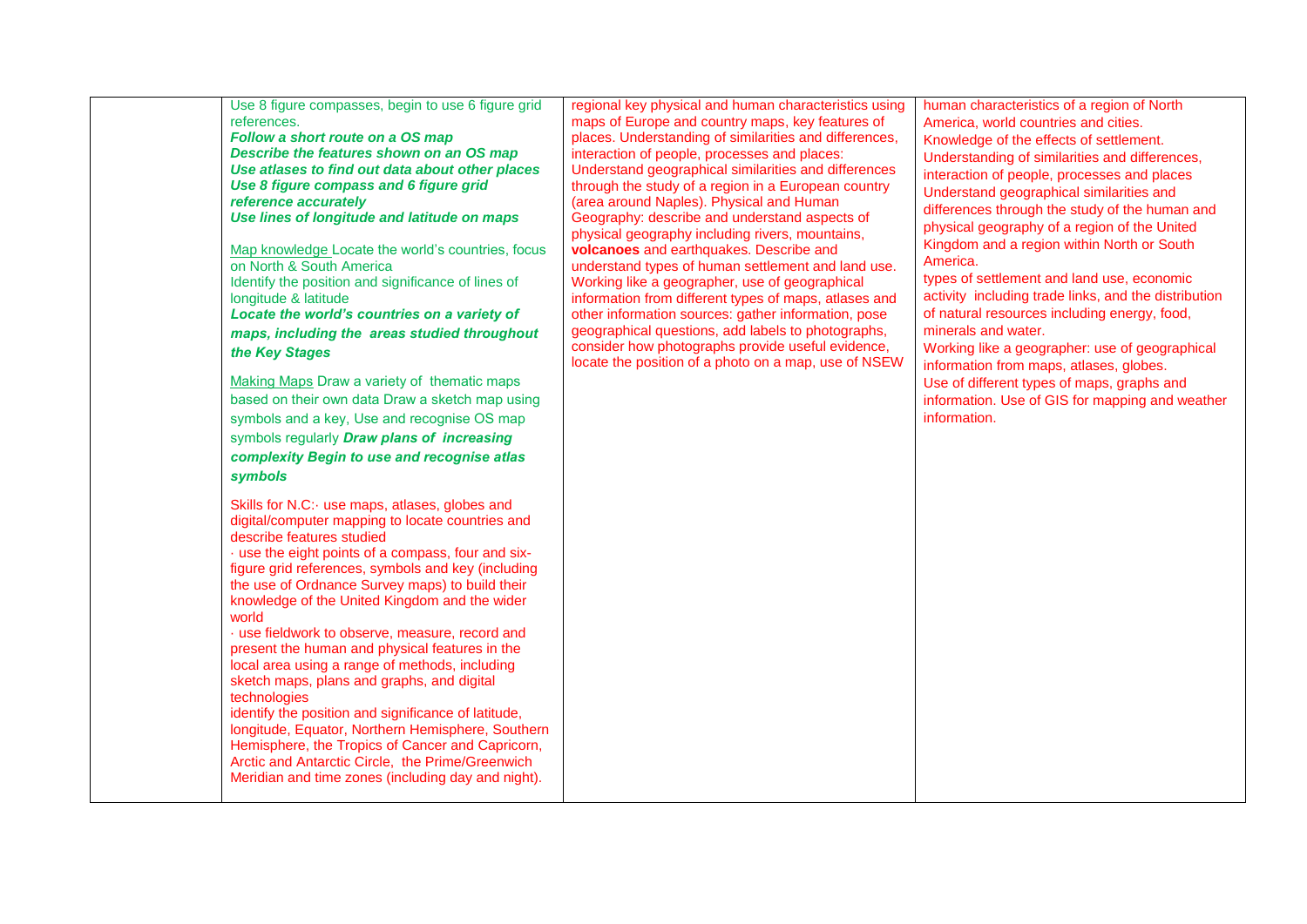| Use 8 figure compasses, begin to use 6 figure grid<br>references.<br>Follow a short route on a OS map<br>Describe the features shown on an OS map<br>Use atlases to find out data about other places<br>Use 8 figure compass and 6 figure grid<br>reference accurately<br>Use lines of longitude and latitude on maps<br>Map knowledge Locate the world's countries, focus<br>on North & South America<br>Identify the position and significance of lines of<br>longitude & latitude<br>Locate the world's countries on a variety of<br>maps, including the areas studied throughout<br>the Key Stages<br>Making Maps Draw a variety of thematic maps<br>based on their own data Draw a sketch map using<br>symbols and a key, Use and recognise OS map<br>symbols regularly Draw plans of increasing<br>complexity Begin to use and recognise atlas<br>symbols | regional key physical and human characteristics using<br>maps of Europe and country maps, key features of<br>places. Understanding of similarities and differences,<br>interaction of people, processes and places:<br>Understand geographical similarities and differences<br>through the study of a region in a European country<br>(area around Naples). Physical and Human<br>Geography: describe and understand aspects of<br>physical geography including rivers, mountains,<br>volcanoes and earthquakes. Describe and<br>understand types of human settlement and land use.<br>Working like a geographer, use of geographical<br>information from different types of maps, atlases and<br>other information sources: gather information, pose<br>geographical questions, add labels to photographs,<br>consider how photographs provide useful evidence,<br>locate the position of a photo on a map, use of NSEW | human characteristics of a region of North<br>America, world countries and cities.<br>Knowledge of the effects of settlement.<br>Understanding of similarities and differences,<br>interaction of people, processes and places<br>Understand geographical similarities and<br>differences through the study of the human and<br>physical geography of a region of the United<br>Kingdom and a region within North or South<br>America.<br>types of settlement and land use, economic<br>activity including trade links, and the distribution<br>of natural resources including energy, food,<br>minerals and water.<br>Working like a geographer: use of geographical<br>information from maps, atlases, globes.<br>Use of different types of maps, graphs and<br>information. Use of GIS for mapping and weather<br>information. |
|-----------------------------------------------------------------------------------------------------------------------------------------------------------------------------------------------------------------------------------------------------------------------------------------------------------------------------------------------------------------------------------------------------------------------------------------------------------------------------------------------------------------------------------------------------------------------------------------------------------------------------------------------------------------------------------------------------------------------------------------------------------------------------------------------------------------------------------------------------------------|--------------------------------------------------------------------------------------------------------------------------------------------------------------------------------------------------------------------------------------------------------------------------------------------------------------------------------------------------------------------------------------------------------------------------------------------------------------------------------------------------------------------------------------------------------------------------------------------------------------------------------------------------------------------------------------------------------------------------------------------------------------------------------------------------------------------------------------------------------------------------------------------------------------------------|-----------------------------------------------------------------------------------------------------------------------------------------------------------------------------------------------------------------------------------------------------------------------------------------------------------------------------------------------------------------------------------------------------------------------------------------------------------------------------------------------------------------------------------------------------------------------------------------------------------------------------------------------------------------------------------------------------------------------------------------------------------------------------------------------------------------------------------|
| Skills for N.C: use maps, atlases, globes and<br>digital/computer mapping to locate countries and<br>describe features studied<br>· use the eight points of a compass, four and six-<br>figure grid references, symbols and key (including<br>the use of Ordnance Survey maps) to build their<br>knowledge of the United Kingdom and the wider<br>world<br>· use fieldwork to observe, measure, record and<br>present the human and physical features in the<br>local area using a range of methods, including<br>sketch maps, plans and graphs, and digital<br>technologies<br>identify the position and significance of latitude,<br>longitude, Equator, Northern Hemisphere, Southern<br>Hemisphere, the Tropics of Cancer and Capricorn,<br>Arctic and Antarctic Circle, the Prime/Greenwich<br>Meridian and time zones (including day and night).          |                                                                                                                                                                                                                                                                                                                                                                                                                                                                                                                                                                                                                                                                                                                                                                                                                                                                                                                          |                                                                                                                                                                                                                                                                                                                                                                                                                                                                                                                                                                                                                                                                                                                                                                                                                                   |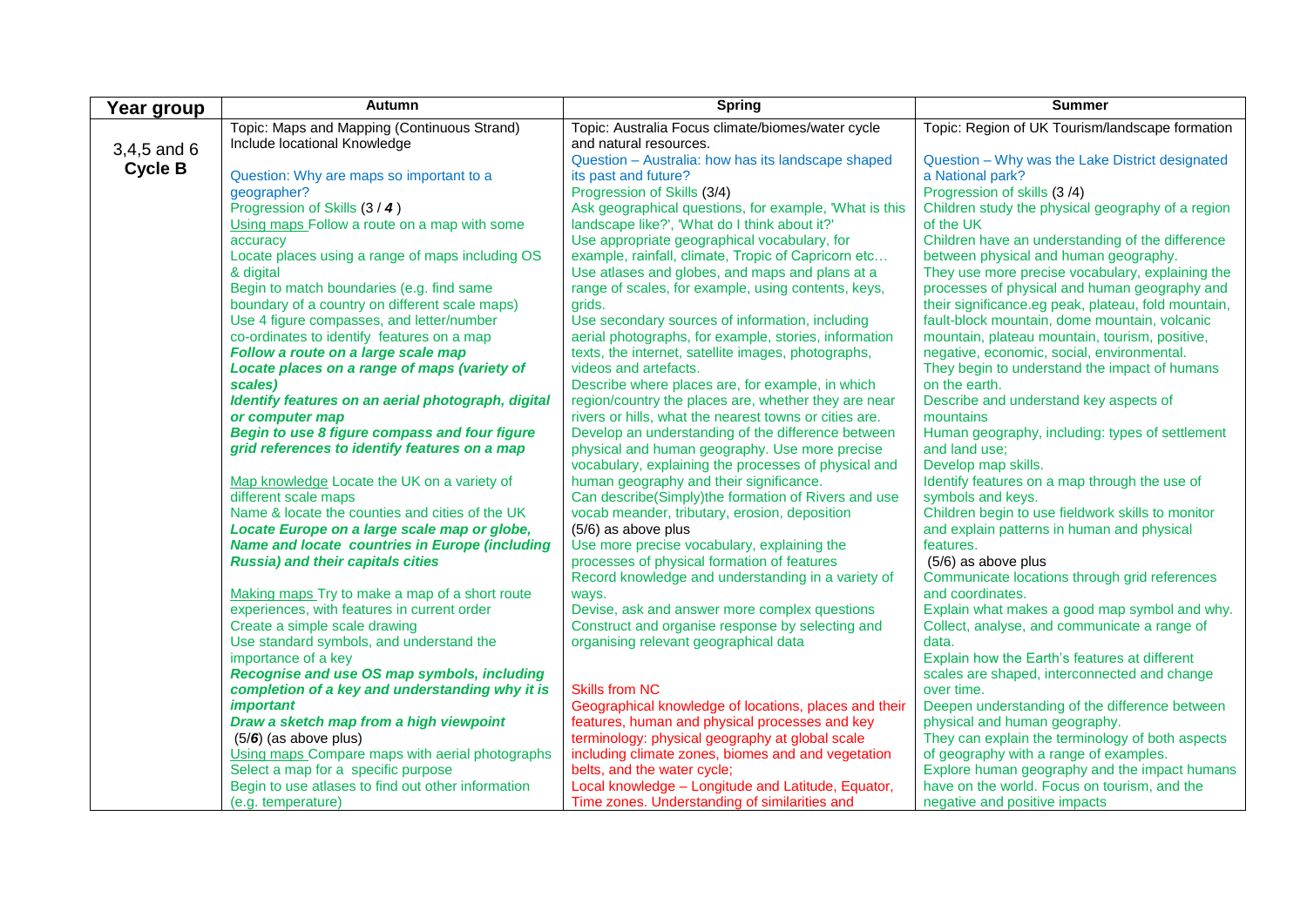| Topic: Region of UK Tourism/landscape formation<br>Topic: Maps and Mapping (Continuous Strand)<br>Topic: Australia Focus climate/biomes/water cycle<br>Include locational Knowledge<br>and natural resources.<br>$3,4,5$ and 6<br>Question - Australia: how has its landscape shaped<br>Question - Why was the Lake District designated<br><b>Cycle B</b><br>Question: Why are maps so important to a<br>its past and future?<br>a National park?<br>geographer?<br>Progression of Skills (3/4)<br>Progression of skills (3/4)<br>Progression of Skills (3 / 4)<br>Ask geographical questions, for example, 'What is this<br>Children study the physical geography of a region<br>Using maps Follow a route on a map with some<br>landscape like?', 'What do I think about it?'<br>of the UK<br>Use appropriate geographical vocabulary, for<br>Children have an understanding of the difference<br>accuracy<br>Locate places using a range of maps including OS<br>example, rainfall, climate, Tropic of Capricorn etc<br>between physical and human geography.<br>& digital<br>Use atlases and globes, and maps and plans at a<br>They use more precise vocabulary, explaining the<br>Begin to match boundaries (e.g. find same<br>range of scales, for example, using contents, keys,<br>processes of physical and human geography and<br>boundary of a country on different scale maps)<br>their significance.eg peak, plateau, fold mountain,<br>grids.<br>Use 4 figure compasses, and letter/number<br>Use secondary sources of information, including<br>fault-block mountain, dome mountain, volcanic<br>co-ordinates to identify features on a map<br>aerial photographs, for example, stories, information<br>mountain, plateau mountain, tourism, positive,<br>Follow a route on a large scale map<br>texts, the internet, satellite images, photographs,<br>negative, economic, social, environmental.<br>videos and artefacts.<br>They begin to understand the impact of humans<br>Locate places on a range of maps (variety of<br>scales)<br>Describe where places are, for example, in which<br>on the earth. | Year group | Autumn | <b>Spring</b> | <b>Summer</b> |
|------------------------------------------------------------------------------------------------------------------------------------------------------------------------------------------------------------------------------------------------------------------------------------------------------------------------------------------------------------------------------------------------------------------------------------------------------------------------------------------------------------------------------------------------------------------------------------------------------------------------------------------------------------------------------------------------------------------------------------------------------------------------------------------------------------------------------------------------------------------------------------------------------------------------------------------------------------------------------------------------------------------------------------------------------------------------------------------------------------------------------------------------------------------------------------------------------------------------------------------------------------------------------------------------------------------------------------------------------------------------------------------------------------------------------------------------------------------------------------------------------------------------------------------------------------------------------------------------------------------------------------------------------------------------------------------------------------------------------------------------------------------------------------------------------------------------------------------------------------------------------------------------------------------------------------------------------------------------------------------------------------------------------------------------------------------------------------------------------------------------------|------------|--------|---------------|---------------|
|                                                                                                                                                                                                                                                                                                                                                                                                                                                                                                                                                                                                                                                                                                                                                                                                                                                                                                                                                                                                                                                                                                                                                                                                                                                                                                                                                                                                                                                                                                                                                                                                                                                                                                                                                                                                                                                                                                                                                                                                                                                                                                                              |            |        |               |               |
|                                                                                                                                                                                                                                                                                                                                                                                                                                                                                                                                                                                                                                                                                                                                                                                                                                                                                                                                                                                                                                                                                                                                                                                                                                                                                                                                                                                                                                                                                                                                                                                                                                                                                                                                                                                                                                                                                                                                                                                                                                                                                                                              |            |        |               |               |
|                                                                                                                                                                                                                                                                                                                                                                                                                                                                                                                                                                                                                                                                                                                                                                                                                                                                                                                                                                                                                                                                                                                                                                                                                                                                                                                                                                                                                                                                                                                                                                                                                                                                                                                                                                                                                                                                                                                                                                                                                                                                                                                              |            |        |               |               |
|                                                                                                                                                                                                                                                                                                                                                                                                                                                                                                                                                                                                                                                                                                                                                                                                                                                                                                                                                                                                                                                                                                                                                                                                                                                                                                                                                                                                                                                                                                                                                                                                                                                                                                                                                                                                                                                                                                                                                                                                                                                                                                                              |            |        |               |               |
|                                                                                                                                                                                                                                                                                                                                                                                                                                                                                                                                                                                                                                                                                                                                                                                                                                                                                                                                                                                                                                                                                                                                                                                                                                                                                                                                                                                                                                                                                                                                                                                                                                                                                                                                                                                                                                                                                                                                                                                                                                                                                                                              |            |        |               |               |
|                                                                                                                                                                                                                                                                                                                                                                                                                                                                                                                                                                                                                                                                                                                                                                                                                                                                                                                                                                                                                                                                                                                                                                                                                                                                                                                                                                                                                                                                                                                                                                                                                                                                                                                                                                                                                                                                                                                                                                                                                                                                                                                              |            |        |               |               |
|                                                                                                                                                                                                                                                                                                                                                                                                                                                                                                                                                                                                                                                                                                                                                                                                                                                                                                                                                                                                                                                                                                                                                                                                                                                                                                                                                                                                                                                                                                                                                                                                                                                                                                                                                                                                                                                                                                                                                                                                                                                                                                                              |            |        |               |               |
|                                                                                                                                                                                                                                                                                                                                                                                                                                                                                                                                                                                                                                                                                                                                                                                                                                                                                                                                                                                                                                                                                                                                                                                                                                                                                                                                                                                                                                                                                                                                                                                                                                                                                                                                                                                                                                                                                                                                                                                                                                                                                                                              |            |        |               |               |
|                                                                                                                                                                                                                                                                                                                                                                                                                                                                                                                                                                                                                                                                                                                                                                                                                                                                                                                                                                                                                                                                                                                                                                                                                                                                                                                                                                                                                                                                                                                                                                                                                                                                                                                                                                                                                                                                                                                                                                                                                                                                                                                              |            |        |               |               |
|                                                                                                                                                                                                                                                                                                                                                                                                                                                                                                                                                                                                                                                                                                                                                                                                                                                                                                                                                                                                                                                                                                                                                                                                                                                                                                                                                                                                                                                                                                                                                                                                                                                                                                                                                                                                                                                                                                                                                                                                                                                                                                                              |            |        |               |               |
|                                                                                                                                                                                                                                                                                                                                                                                                                                                                                                                                                                                                                                                                                                                                                                                                                                                                                                                                                                                                                                                                                                                                                                                                                                                                                                                                                                                                                                                                                                                                                                                                                                                                                                                                                                                                                                                                                                                                                                                                                                                                                                                              |            |        |               |               |
|                                                                                                                                                                                                                                                                                                                                                                                                                                                                                                                                                                                                                                                                                                                                                                                                                                                                                                                                                                                                                                                                                                                                                                                                                                                                                                                                                                                                                                                                                                                                                                                                                                                                                                                                                                                                                                                                                                                                                                                                                                                                                                                              |            |        |               |               |
|                                                                                                                                                                                                                                                                                                                                                                                                                                                                                                                                                                                                                                                                                                                                                                                                                                                                                                                                                                                                                                                                                                                                                                                                                                                                                                                                                                                                                                                                                                                                                                                                                                                                                                                                                                                                                                                                                                                                                                                                                                                                                                                              |            |        |               |               |
|                                                                                                                                                                                                                                                                                                                                                                                                                                                                                                                                                                                                                                                                                                                                                                                                                                                                                                                                                                                                                                                                                                                                                                                                                                                                                                                                                                                                                                                                                                                                                                                                                                                                                                                                                                                                                                                                                                                                                                                                                                                                                                                              |            |        |               |               |
|                                                                                                                                                                                                                                                                                                                                                                                                                                                                                                                                                                                                                                                                                                                                                                                                                                                                                                                                                                                                                                                                                                                                                                                                                                                                                                                                                                                                                                                                                                                                                                                                                                                                                                                                                                                                                                                                                                                                                                                                                                                                                                                              |            |        |               |               |
|                                                                                                                                                                                                                                                                                                                                                                                                                                                                                                                                                                                                                                                                                                                                                                                                                                                                                                                                                                                                                                                                                                                                                                                                                                                                                                                                                                                                                                                                                                                                                                                                                                                                                                                                                                                                                                                                                                                                                                                                                                                                                                                              |            |        |               |               |
| Identify features on an aerial photograph, digital<br>region/country the places are, whether they are near<br>Describe and understand key aspects of                                                                                                                                                                                                                                                                                                                                                                                                                                                                                                                                                                                                                                                                                                                                                                                                                                                                                                                                                                                                                                                                                                                                                                                                                                                                                                                                                                                                                                                                                                                                                                                                                                                                                                                                                                                                                                                                                                                                                                         |            |        |               |               |
| rivers or hills, what the nearest towns or cities are.<br>mountains<br>or computer map                                                                                                                                                                                                                                                                                                                                                                                                                                                                                                                                                                                                                                                                                                                                                                                                                                                                                                                                                                                                                                                                                                                                                                                                                                                                                                                                                                                                                                                                                                                                                                                                                                                                                                                                                                                                                                                                                                                                                                                                                                       |            |        |               |               |
| Begin to use 8 figure compass and four figure<br>Develop an understanding of the difference between<br>Human geography, including: types of settlement                                                                                                                                                                                                                                                                                                                                                                                                                                                                                                                                                                                                                                                                                                                                                                                                                                                                                                                                                                                                                                                                                                                                                                                                                                                                                                                                                                                                                                                                                                                                                                                                                                                                                                                                                                                                                                                                                                                                                                       |            |        |               |               |
| grid references to identify features on a map<br>physical and human geography. Use more precise<br>and land use:                                                                                                                                                                                                                                                                                                                                                                                                                                                                                                                                                                                                                                                                                                                                                                                                                                                                                                                                                                                                                                                                                                                                                                                                                                                                                                                                                                                                                                                                                                                                                                                                                                                                                                                                                                                                                                                                                                                                                                                                             |            |        |               |               |
| vocabulary, explaining the processes of physical and<br>Develop map skills.                                                                                                                                                                                                                                                                                                                                                                                                                                                                                                                                                                                                                                                                                                                                                                                                                                                                                                                                                                                                                                                                                                                                                                                                                                                                                                                                                                                                                                                                                                                                                                                                                                                                                                                                                                                                                                                                                                                                                                                                                                                  |            |        |               |               |
| human geography and their significance.<br>Identify features on a map through the use of<br>Map knowledge Locate the UK on a variety of                                                                                                                                                                                                                                                                                                                                                                                                                                                                                                                                                                                                                                                                                                                                                                                                                                                                                                                                                                                                                                                                                                                                                                                                                                                                                                                                                                                                                                                                                                                                                                                                                                                                                                                                                                                                                                                                                                                                                                                      |            |        |               |               |
| different scale maps<br>Can describe(Simply)the formation of Rivers and use<br>symbols and keys.                                                                                                                                                                                                                                                                                                                                                                                                                                                                                                                                                                                                                                                                                                                                                                                                                                                                                                                                                                                                                                                                                                                                                                                                                                                                                                                                                                                                                                                                                                                                                                                                                                                                                                                                                                                                                                                                                                                                                                                                                             |            |        |               |               |
| Name & locate the counties and cities of the UK<br>vocab meander, tributary, erosion, deposition<br>Children begin to use fieldwork skills to monitor                                                                                                                                                                                                                                                                                                                                                                                                                                                                                                                                                                                                                                                                                                                                                                                                                                                                                                                                                                                                                                                                                                                                                                                                                                                                                                                                                                                                                                                                                                                                                                                                                                                                                                                                                                                                                                                                                                                                                                        |            |        |               |               |
| Locate Europe on a large scale map or globe,<br>(5/6) as above plus<br>and explain patterns in human and physical                                                                                                                                                                                                                                                                                                                                                                                                                                                                                                                                                                                                                                                                                                                                                                                                                                                                                                                                                                                                                                                                                                                                                                                                                                                                                                                                                                                                                                                                                                                                                                                                                                                                                                                                                                                                                                                                                                                                                                                                            |            |        |               |               |
| <b>Name and locate countries in Europe (including</b><br>Use more precise vocabulary, explaining the<br>features.                                                                                                                                                                                                                                                                                                                                                                                                                                                                                                                                                                                                                                                                                                                                                                                                                                                                                                                                                                                                                                                                                                                                                                                                                                                                                                                                                                                                                                                                                                                                                                                                                                                                                                                                                                                                                                                                                                                                                                                                            |            |        |               |               |
| <b>Russia) and their capitals cities</b><br>processes of physical formation of features<br>(5/6) as above plus                                                                                                                                                                                                                                                                                                                                                                                                                                                                                                                                                                                                                                                                                                                                                                                                                                                                                                                                                                                                                                                                                                                                                                                                                                                                                                                                                                                                                                                                                                                                                                                                                                                                                                                                                                                                                                                                                                                                                                                                               |            |        |               |               |
| Record knowledge and understanding in a variety of<br>Communicate locations through grid references                                                                                                                                                                                                                                                                                                                                                                                                                                                                                                                                                                                                                                                                                                                                                                                                                                                                                                                                                                                                                                                                                                                                                                                                                                                                                                                                                                                                                                                                                                                                                                                                                                                                                                                                                                                                                                                                                                                                                                                                                          |            |        |               |               |
| and coordinates.<br>Making maps Try to make a map of a short route<br>ways.                                                                                                                                                                                                                                                                                                                                                                                                                                                                                                                                                                                                                                                                                                                                                                                                                                                                                                                                                                                                                                                                                                                                                                                                                                                                                                                                                                                                                                                                                                                                                                                                                                                                                                                                                                                                                                                                                                                                                                                                                                                  |            |        |               |               |
| experiences, with features in current order<br>Devise, ask and answer more complex questions<br>Explain what makes a good map symbol and why.                                                                                                                                                                                                                                                                                                                                                                                                                                                                                                                                                                                                                                                                                                                                                                                                                                                                                                                                                                                                                                                                                                                                                                                                                                                                                                                                                                                                                                                                                                                                                                                                                                                                                                                                                                                                                                                                                                                                                                                |            |        |               |               |
| Create a simple scale drawing<br>Construct and organise response by selecting and<br>Collect, analyse, and communicate a range of                                                                                                                                                                                                                                                                                                                                                                                                                                                                                                                                                                                                                                                                                                                                                                                                                                                                                                                                                                                                                                                                                                                                                                                                                                                                                                                                                                                                                                                                                                                                                                                                                                                                                                                                                                                                                                                                                                                                                                                            |            |        |               |               |
| Use standard symbols, and understand the<br>organising relevant geographical data<br>data.                                                                                                                                                                                                                                                                                                                                                                                                                                                                                                                                                                                                                                                                                                                                                                                                                                                                                                                                                                                                                                                                                                                                                                                                                                                                                                                                                                                                                                                                                                                                                                                                                                                                                                                                                                                                                                                                                                                                                                                                                                   |            |        |               |               |
| importance of a key<br>Explain how the Earth's features at different                                                                                                                                                                                                                                                                                                                                                                                                                                                                                                                                                                                                                                                                                                                                                                                                                                                                                                                                                                                                                                                                                                                                                                                                                                                                                                                                                                                                                                                                                                                                                                                                                                                                                                                                                                                                                                                                                                                                                                                                                                                         |            |        |               |               |
| Recognise and use OS map symbols, including<br>scales are shaped, interconnected and change                                                                                                                                                                                                                                                                                                                                                                                                                                                                                                                                                                                                                                                                                                                                                                                                                                                                                                                                                                                                                                                                                                                                                                                                                                                                                                                                                                                                                                                                                                                                                                                                                                                                                                                                                                                                                                                                                                                                                                                                                                  |            |        |               |               |
| completion of a key and understanding why it is<br><b>Skills from NC</b><br>over time.                                                                                                                                                                                                                                                                                                                                                                                                                                                                                                                                                                                                                                                                                                                                                                                                                                                                                                                                                                                                                                                                                                                                                                                                                                                                                                                                                                                                                                                                                                                                                                                                                                                                                                                                                                                                                                                                                                                                                                                                                                       |            |        |               |               |
| <i>important</i><br>Geographical knowledge of locations, places and their<br>Deepen understanding of the difference between                                                                                                                                                                                                                                                                                                                                                                                                                                                                                                                                                                                                                                                                                                                                                                                                                                                                                                                                                                                                                                                                                                                                                                                                                                                                                                                                                                                                                                                                                                                                                                                                                                                                                                                                                                                                                                                                                                                                                                                                  |            |        |               |               |
| Draw a sketch map from a high viewpoint<br>features, human and physical processes and key<br>physical and human geography.                                                                                                                                                                                                                                                                                                                                                                                                                                                                                                                                                                                                                                                                                                                                                                                                                                                                                                                                                                                                                                                                                                                                                                                                                                                                                                                                                                                                                                                                                                                                                                                                                                                                                                                                                                                                                                                                                                                                                                                                   |            |        |               |               |
| They can explain the terminology of both aspects<br>$(5/6)$ (as above plus)<br>terminology: physical geography at global scale                                                                                                                                                                                                                                                                                                                                                                                                                                                                                                                                                                                                                                                                                                                                                                                                                                                                                                                                                                                                                                                                                                                                                                                                                                                                                                                                                                                                                                                                                                                                                                                                                                                                                                                                                                                                                                                                                                                                                                                               |            |        |               |               |
| Using maps Compare maps with aerial photographs<br>including climate zones, biomes and and vegetation<br>of geography with a range of examples.<br>Select a map for a specific purpose<br>belts, and the water cycle;<br>Explore human geography and the impact humans                                                                                                                                                                                                                                                                                                                                                                                                                                                                                                                                                                                                                                                                                                                                                                                                                                                                                                                                                                                                                                                                                                                                                                                                                                                                                                                                                                                                                                                                                                                                                                                                                                                                                                                                                                                                                                                       |            |        |               |               |
| Begin to use atlases to find out other information<br>Local knowledge - Longitude and Latitude, Equator,<br>have on the world. Focus on tourism, and the                                                                                                                                                                                                                                                                                                                                                                                                                                                                                                                                                                                                                                                                                                                                                                                                                                                                                                                                                                                                                                                                                                                                                                                                                                                                                                                                                                                                                                                                                                                                                                                                                                                                                                                                                                                                                                                                                                                                                                     |            |        |               |               |
| Time zones. Understanding of similarities and<br>(e.g. temperature)<br>negative and positive impacts                                                                                                                                                                                                                                                                                                                                                                                                                                                                                                                                                                                                                                                                                                                                                                                                                                                                                                                                                                                                                                                                                                                                                                                                                                                                                                                                                                                                                                                                                                                                                                                                                                                                                                                                                                                                                                                                                                                                                                                                                         |            |        |               |               |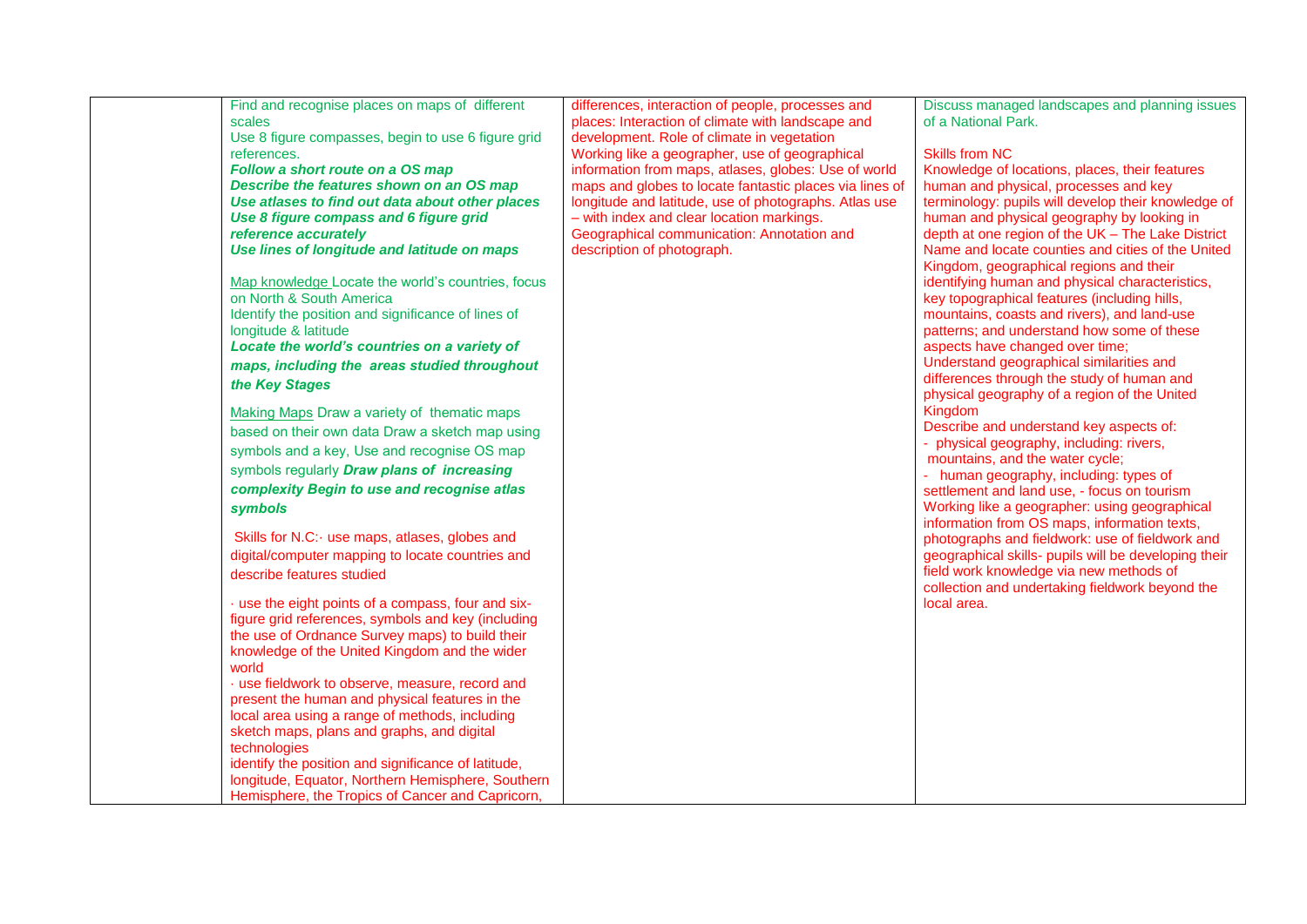| Find and recognise places on maps of different      | differences, interaction of people, processes and       | Discuss managed landscapes and planning issues       |
|-----------------------------------------------------|---------------------------------------------------------|------------------------------------------------------|
| scales                                              | places: Interaction of climate with landscape and       | of a National Park.                                  |
| Use 8 figure compasses, begin to use 6 figure grid  | development. Role of climate in vegetation              |                                                      |
| references.                                         | Working like a geographer, use of geographical          | <b>Skills from NC</b>                                |
| Follow a short route on a OS map                    | information from maps, atlases, globes: Use of world    | Knowledge of locations, places, their features       |
| Describe the features shown on an OS map            | maps and globes to locate fantastic places via lines of | human and physical, processes and key                |
| Use atlases to find out data about other places     | longitude and latitude, use of photographs. Atlas use   | terminology: pupils will develop their knowledge of  |
| Use 8 figure compass and 6 figure grid              | - with index and clear location markings.               | human and physical geography by looking in           |
| reference accurately                                | Geographical communication: Annotation and              | depth at one region of the UK - The Lake District    |
| Use lines of longitude and latitude on maps         | description of photograph.                              | Name and locate counties and cities of the United    |
|                                                     |                                                         | Kingdom, geographical regions and their              |
| Map knowledge Locate the world's countries, focus   |                                                         | identifying human and physical characteristics,      |
| on North & South America                            |                                                         | key topographical features (including hills,         |
| Identify the position and significance of lines of  |                                                         | mountains, coasts and rivers), and land-use          |
| longitude & latitude                                |                                                         | patterns; and understand how some of these           |
| Locate the world's countries on a variety of        |                                                         | aspects have changed over time;                      |
| maps, including the areas studied throughout        |                                                         | Understand geographical similarities and             |
| the Key Stages                                      |                                                         | differences through the study of human and           |
|                                                     |                                                         | physical geography of a region of the United         |
| Making Maps Draw a variety of thematic maps         |                                                         | Kingdom                                              |
| based on their own data Draw a sketch map using     |                                                         | Describe and understand key aspects of:              |
|                                                     |                                                         | - physical geography, including: rivers,             |
| symbols and a key, Use and recognise OS map         |                                                         | mountains, and the water cycle;                      |
| symbols regularly Draw plans of increasing          |                                                         | - human geography, including: types of               |
| complexity Begin to use and recognise atlas         |                                                         | settlement and land use, - focus on tourism          |
| symbols                                             |                                                         | Working like a geographer: using geographical        |
|                                                     |                                                         | information from OS maps, information texts,         |
| Skills for N.C: use maps, atlases, globes and       |                                                         | photographs and fieldwork: use of fieldwork and      |
| digital/computer mapping to locate countries and    |                                                         | geographical skills- pupils will be developing their |
| describe features studied                           |                                                         | field work knowledge via new methods of              |
|                                                     |                                                         | collection and undertaking fieldwork beyond the      |
| · use the eight points of a compass, four and six-  |                                                         | local area.                                          |
| figure grid references, symbols and key (including  |                                                         |                                                      |
| the use of Ordnance Survey maps) to build their     |                                                         |                                                      |
| knowledge of the United Kingdom and the wider       |                                                         |                                                      |
| world                                               |                                                         |                                                      |
| · use fieldwork to observe, measure, record and     |                                                         |                                                      |
| present the human and physical features in the      |                                                         |                                                      |
| local area using a range of methods, including      |                                                         |                                                      |
| sketch maps, plans and graphs, and digital          |                                                         |                                                      |
| technologies                                        |                                                         |                                                      |
| identify the position and significance of latitude, |                                                         |                                                      |
| longitude, Equator, Northern Hemisphere, Southern   |                                                         |                                                      |
| Hemisphere, the Tropics of Cancer and Capricorn,    |                                                         |                                                      |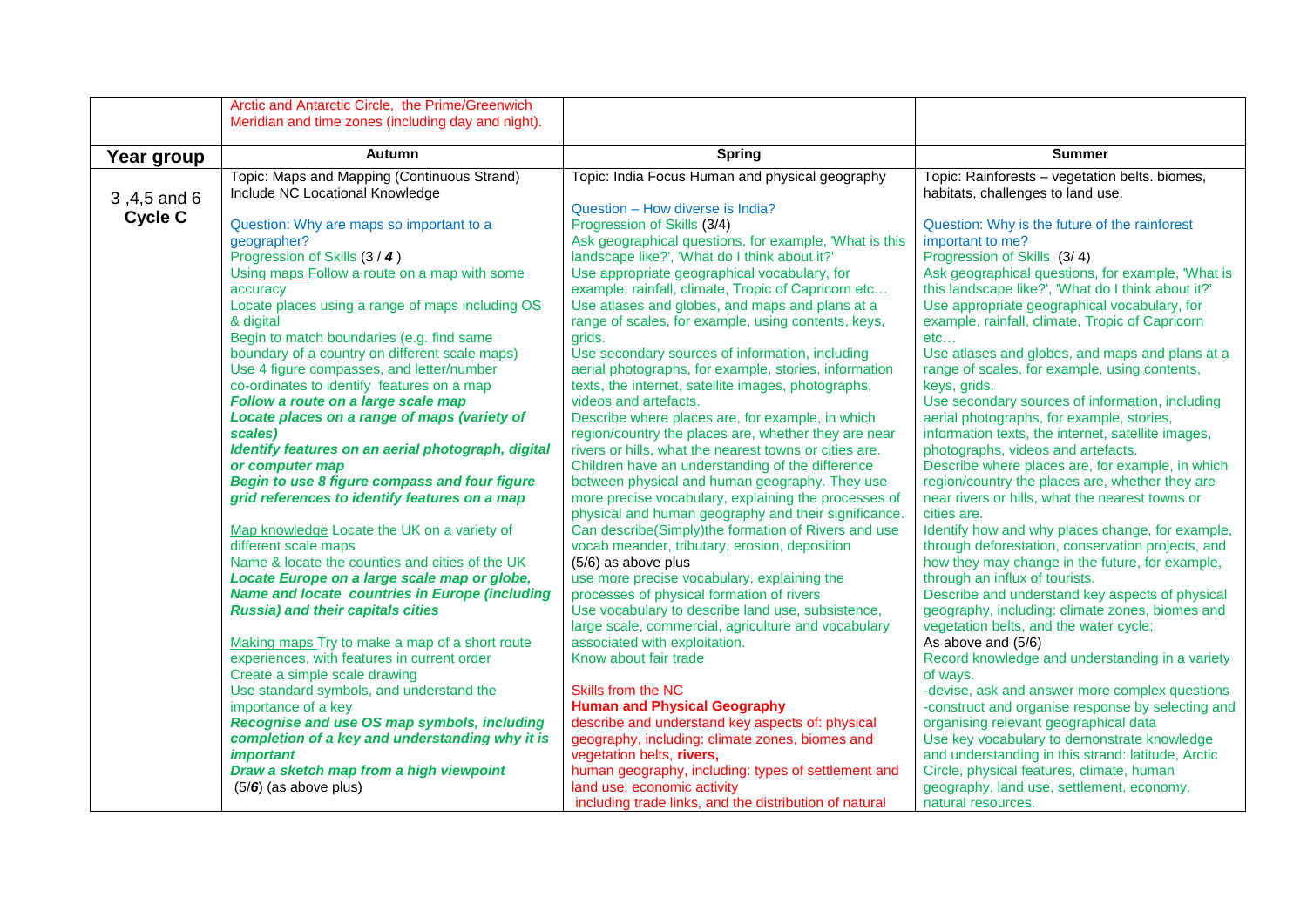|                | Arctic and Antarctic Circle, the Prime/Greenwich                        |                                                                                                        |                                                                                                 |
|----------------|-------------------------------------------------------------------------|--------------------------------------------------------------------------------------------------------|-------------------------------------------------------------------------------------------------|
|                | Meridian and time zones (including day and night).                      |                                                                                                        |                                                                                                 |
|                |                                                                         |                                                                                                        |                                                                                                 |
| Year group     | <b>Autumn</b>                                                           | <b>Spring</b>                                                                                          | <b>Summer</b>                                                                                   |
|                | Topic: Maps and Mapping (Continuous Strand)                             | Topic: India Focus Human and physical geography                                                        | Topic: Rainforests - vegetation belts. biomes,                                                  |
| 3,4,5 and 6    | Include NC Locational Knowledge                                         |                                                                                                        | habitats, challenges to land use.                                                               |
| <b>Cycle C</b> |                                                                         | Question - How diverse is India?                                                                       |                                                                                                 |
|                | Question: Why are maps so important to a                                | Progression of Skills (3/4)                                                                            | Question: Why is the future of the rainforest                                                   |
|                | geographer?                                                             | Ask geographical questions, for example, 'What is this                                                 | important to me?                                                                                |
|                | Progression of Skills (3 / 4)                                           | landscape like?', 'What do I think about it?'                                                          | Progression of Skills (3/4)                                                                     |
|                | Using maps Follow a route on a map with some                            | Use appropriate geographical vocabulary, for                                                           | Ask geographical questions, for example, 'What is                                               |
|                | accuracy                                                                | example, rainfall, climate, Tropic of Capricorn etc                                                    | this landscape like?', 'What do I think about it?'                                              |
|                | Locate places using a range of maps including OS<br>& digital           | Use atlases and globes, and maps and plans at a<br>range of scales, for example, using contents, keys, | Use appropriate geographical vocabulary, for<br>example, rainfall, climate, Tropic of Capricorn |
|                | Begin to match boundaries (e.g. find same                               | grids.                                                                                                 | etc                                                                                             |
|                | boundary of a country on different scale maps)                          | Use secondary sources of information, including                                                        | Use atlases and globes, and maps and plans at a                                                 |
|                | Use 4 figure compasses, and letter/number                               | aerial photographs, for example, stories, information                                                  | range of scales, for example, using contents,                                                   |
|                | co-ordinates to identify features on a map                              | texts, the internet, satellite images, photographs,                                                    | keys, grids.                                                                                    |
|                | Follow a route on a large scale map                                     | videos and artefacts.                                                                                  | Use secondary sources of information, including                                                 |
|                | Locate places on a range of maps (variety of                            | Describe where places are, for example, in which                                                       | aerial photographs, for example, stories,                                                       |
|                | scales)                                                                 | region/country the places are, whether they are near                                                   | information texts, the internet, satellite images,                                              |
|                | Identify features on an aerial photograph, digital                      | rivers or hills, what the nearest towns or cities are.                                                 | photographs, videos and artefacts.                                                              |
|                | or computer map                                                         | Children have an understanding of the difference                                                       | Describe where places are, for example, in which                                                |
|                | Begin to use 8 figure compass and four figure                           | between physical and human geography. They use                                                         | region/country the places are, whether they are                                                 |
|                | grid references to identify features on a map                           | more precise vocabulary, explaining the processes of                                                   | near rivers or hills, what the nearest towns or                                                 |
|                |                                                                         | physical and human geography and their significance.                                                   | cities are.                                                                                     |
|                | Map knowledge Locate the UK on a variety of                             | Can describe(Simply)the formation of Rivers and use                                                    | Identify how and why places change, for example,                                                |
|                | different scale maps<br>Name & locate the counties and cities of the UK | vocab meander, tributary, erosion, deposition                                                          | through deforestation, conservation projects, and                                               |
|                | Locate Europe on a large scale map or globe,                            | (5/6) as above plus<br>use more precise vocabulary, explaining the                                     | how they may change in the future, for example,<br>through an influx of tourists.               |
|                | <b>Name and locate countries in Europe (including</b>                   | processes of physical formation of rivers                                                              | Describe and understand key aspects of physical                                                 |
|                | <b>Russia) and their capitals cities</b>                                | Use vocabulary to describe land use, subsistence,                                                      | geography, including: climate zones, biomes and                                                 |
|                |                                                                         | large scale, commercial, agriculture and vocabulary                                                    | vegetation belts, and the water cycle;                                                          |
|                | Making maps Try to make a map of a short route                          | associated with exploitation.                                                                          | As above and (5/6)                                                                              |
|                | experiences, with features in current order                             | Know about fair trade                                                                                  | Record knowledge and understanding in a variety                                                 |
|                | Create a simple scale drawing                                           |                                                                                                        | of ways.                                                                                        |
|                | Use standard symbols, and understand the                                | Skills from the NC                                                                                     | -devise, ask and answer more complex questions                                                  |
|                | importance of a key                                                     | <b>Human and Physical Geography</b>                                                                    | -construct and organise response by selecting and                                               |
|                | Recognise and use OS map symbols, including                             | describe and understand key aspects of: physical                                                       | organising relevant geographical data                                                           |
|                | completion of a key and understanding why it is                         | geography, including: climate zones, biomes and                                                        | Use key vocabulary to demonstrate knowledge                                                     |
|                | <i>important</i>                                                        | vegetation belts, rivers,                                                                              | and understanding in this strand: latitude, Arctic                                              |
|                | Draw a sketch map from a high viewpoint                                 | human geography, including: types of settlement and                                                    | Circle, physical features, climate, human                                                       |
|                | $(5/6)$ (as above plus)                                                 | land use, economic activity                                                                            | geography, land use, settlement, economy,                                                       |
|                |                                                                         | including trade links, and the distribution of natural                                                 | natural resources.                                                                              |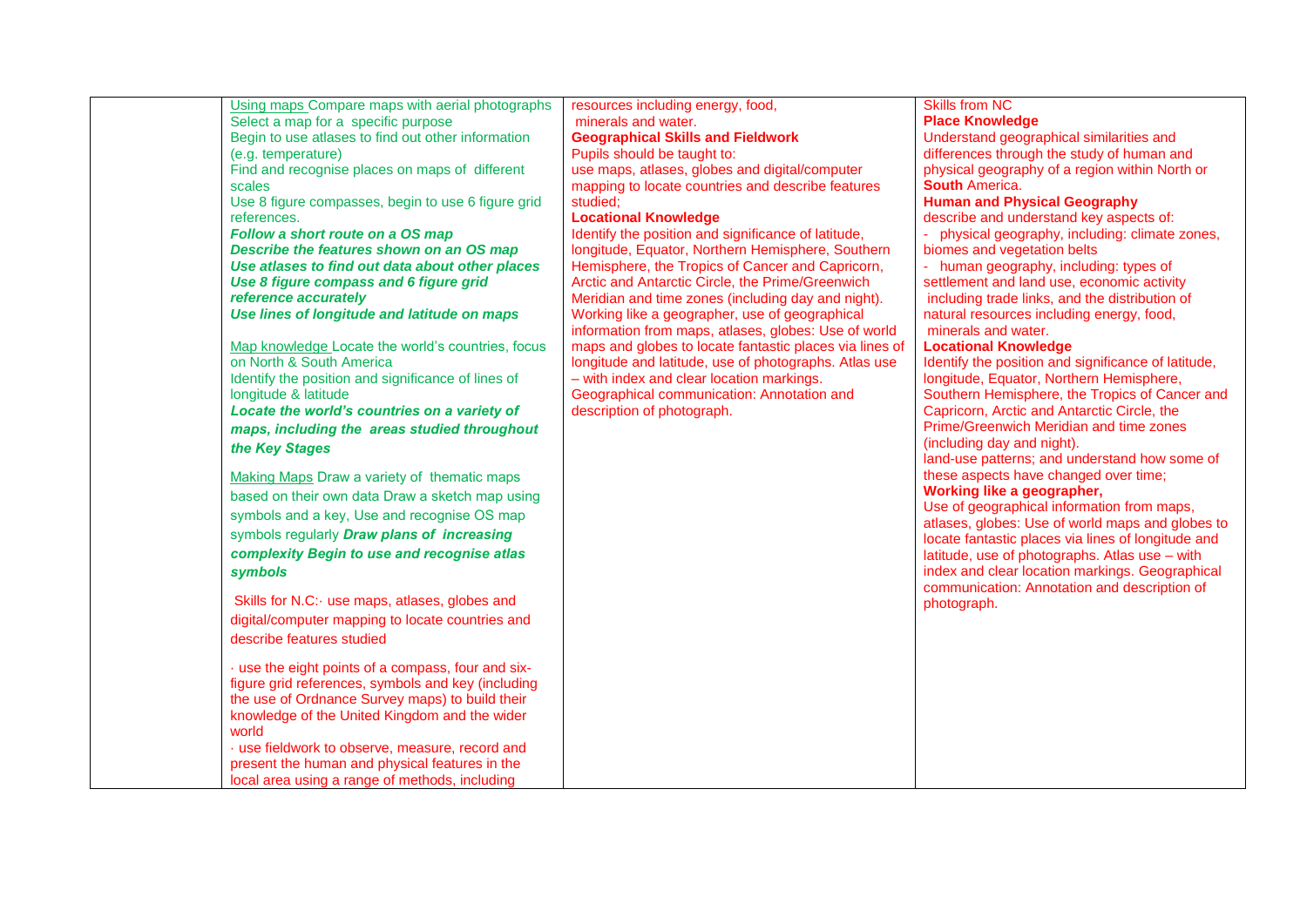| Using maps Compare maps with aerial photographs<br>Select a map for a specific purpose<br>Begin to use atlases to find out other information<br>(e.g. temperature)<br>Find and recognise places on maps of different<br>scales<br>Use 8 figure compasses, begin to use 6 figure grid<br>references.<br>Follow a short route on a OS map<br>Describe the features shown on an OS map<br>Use atlases to find out data about other places<br>Use 8 figure compass and 6 figure grid<br>reference accurately<br>Use lines of longitude and latitude on maps<br>Map knowledge Locate the world's countries, focus<br>on North & South America<br>Identify the position and significance of lines of<br>longitude & latitude<br>Locate the world's countries on a variety of<br>maps, including the areas studied throughout<br>the Key Stages<br>Making Maps Draw a variety of thematic maps<br>based on their own data Draw a sketch map using<br>symbols and a key, Use and recognise OS map<br>symbols regularly Draw plans of increasing<br>complexity Begin to use and recognise atlas<br>symbols<br>Skills for N.C: use maps, atlases, globes and<br>digital/computer mapping to locate countries and<br>describe features studied<br>· use the eight points of a compass, four and six-<br>figure grid references, symbols and key (including<br>the use of Ordnance Survey maps) to build their<br>knowledge of the United Kingdom and the wider<br>world<br>· use fieldwork to observe, measure, record and<br>present the human and physical features in the<br>local area using a range of methods, including | resources including energy, food,<br>minerals and water.<br><b>Geographical Skills and Fieldwork</b><br>Pupils should be taught to:<br>use maps, atlases, globes and digital/computer<br>mapping to locate countries and describe features<br>studied:<br><b>Locational Knowledge</b><br>Identify the position and significance of latitude,<br>longitude, Equator, Northern Hemisphere, Southern<br>Hemisphere, the Tropics of Cancer and Capricorn,<br>Arctic and Antarctic Circle, the Prime/Greenwich<br>Meridian and time zones (including day and night).<br>Working like a geographer, use of geographical<br>information from maps, atlases, globes: Use of world<br>maps and globes to locate fantastic places via lines of<br>longitude and latitude, use of photographs. Atlas use<br>- with index and clear location markings.<br>Geographical communication: Annotation and<br>description of photograph. | <b>Skills from NC</b><br><b>Place Knowledge</b><br>Understand geographical similarities and<br>differences through the study of human and<br>physical geography of a region within North or<br><b>South America.</b><br><b>Human and Physical Geography</b><br>describe and understand key aspects of:<br>- physical geography, including: climate zones,<br>biomes and vegetation belts<br>- human geography, including: types of<br>settlement and land use, economic activity<br>including trade links, and the distribution of<br>natural resources including energy, food,<br>minerals and water.<br><b>Locational Knowledge</b><br>Identify the position and significance of latitude,<br>longitude, Equator, Northern Hemisphere,<br>Southern Hemisphere, the Tropics of Cancer and<br>Capricorn, Arctic and Antarctic Circle, the<br>Prime/Greenwich Meridian and time zones<br>(including day and night).<br>land-use patterns; and understand how some of<br>these aspects have changed over time;<br>Working like a geographer,<br>Use of geographical information from maps,<br>atlases, globes: Use of world maps and globes to<br>locate fantastic places via lines of longitude and<br>latitude, use of photographs. Atlas use - with<br>index and clear location markings. Geographical<br>communication: Annotation and description of<br>photograph. |
|---------------------------------------------------------------------------------------------------------------------------------------------------------------------------------------------------------------------------------------------------------------------------------------------------------------------------------------------------------------------------------------------------------------------------------------------------------------------------------------------------------------------------------------------------------------------------------------------------------------------------------------------------------------------------------------------------------------------------------------------------------------------------------------------------------------------------------------------------------------------------------------------------------------------------------------------------------------------------------------------------------------------------------------------------------------------------------------------------------------------------------------------------------------------------------------------------------------------------------------------------------------------------------------------------------------------------------------------------------------------------------------------------------------------------------------------------------------------------------------------------------------------------------------------------------------------------------------------------------------------|------------------------------------------------------------------------------------------------------------------------------------------------------------------------------------------------------------------------------------------------------------------------------------------------------------------------------------------------------------------------------------------------------------------------------------------------------------------------------------------------------------------------------------------------------------------------------------------------------------------------------------------------------------------------------------------------------------------------------------------------------------------------------------------------------------------------------------------------------------------------------------------------------------------------|------------------------------------------------------------------------------------------------------------------------------------------------------------------------------------------------------------------------------------------------------------------------------------------------------------------------------------------------------------------------------------------------------------------------------------------------------------------------------------------------------------------------------------------------------------------------------------------------------------------------------------------------------------------------------------------------------------------------------------------------------------------------------------------------------------------------------------------------------------------------------------------------------------------------------------------------------------------------------------------------------------------------------------------------------------------------------------------------------------------------------------------------------------------------------------------------------------------------------------------------------------------------------------------------------------------------------------------------------------------------|
|---------------------------------------------------------------------------------------------------------------------------------------------------------------------------------------------------------------------------------------------------------------------------------------------------------------------------------------------------------------------------------------------------------------------------------------------------------------------------------------------------------------------------------------------------------------------------------------------------------------------------------------------------------------------------------------------------------------------------------------------------------------------------------------------------------------------------------------------------------------------------------------------------------------------------------------------------------------------------------------------------------------------------------------------------------------------------------------------------------------------------------------------------------------------------------------------------------------------------------------------------------------------------------------------------------------------------------------------------------------------------------------------------------------------------------------------------------------------------------------------------------------------------------------------------------------------------------------------------------------------|------------------------------------------------------------------------------------------------------------------------------------------------------------------------------------------------------------------------------------------------------------------------------------------------------------------------------------------------------------------------------------------------------------------------------------------------------------------------------------------------------------------------------------------------------------------------------------------------------------------------------------------------------------------------------------------------------------------------------------------------------------------------------------------------------------------------------------------------------------------------------------------------------------------------|------------------------------------------------------------------------------------------------------------------------------------------------------------------------------------------------------------------------------------------------------------------------------------------------------------------------------------------------------------------------------------------------------------------------------------------------------------------------------------------------------------------------------------------------------------------------------------------------------------------------------------------------------------------------------------------------------------------------------------------------------------------------------------------------------------------------------------------------------------------------------------------------------------------------------------------------------------------------------------------------------------------------------------------------------------------------------------------------------------------------------------------------------------------------------------------------------------------------------------------------------------------------------------------------------------------------------------------------------------------------|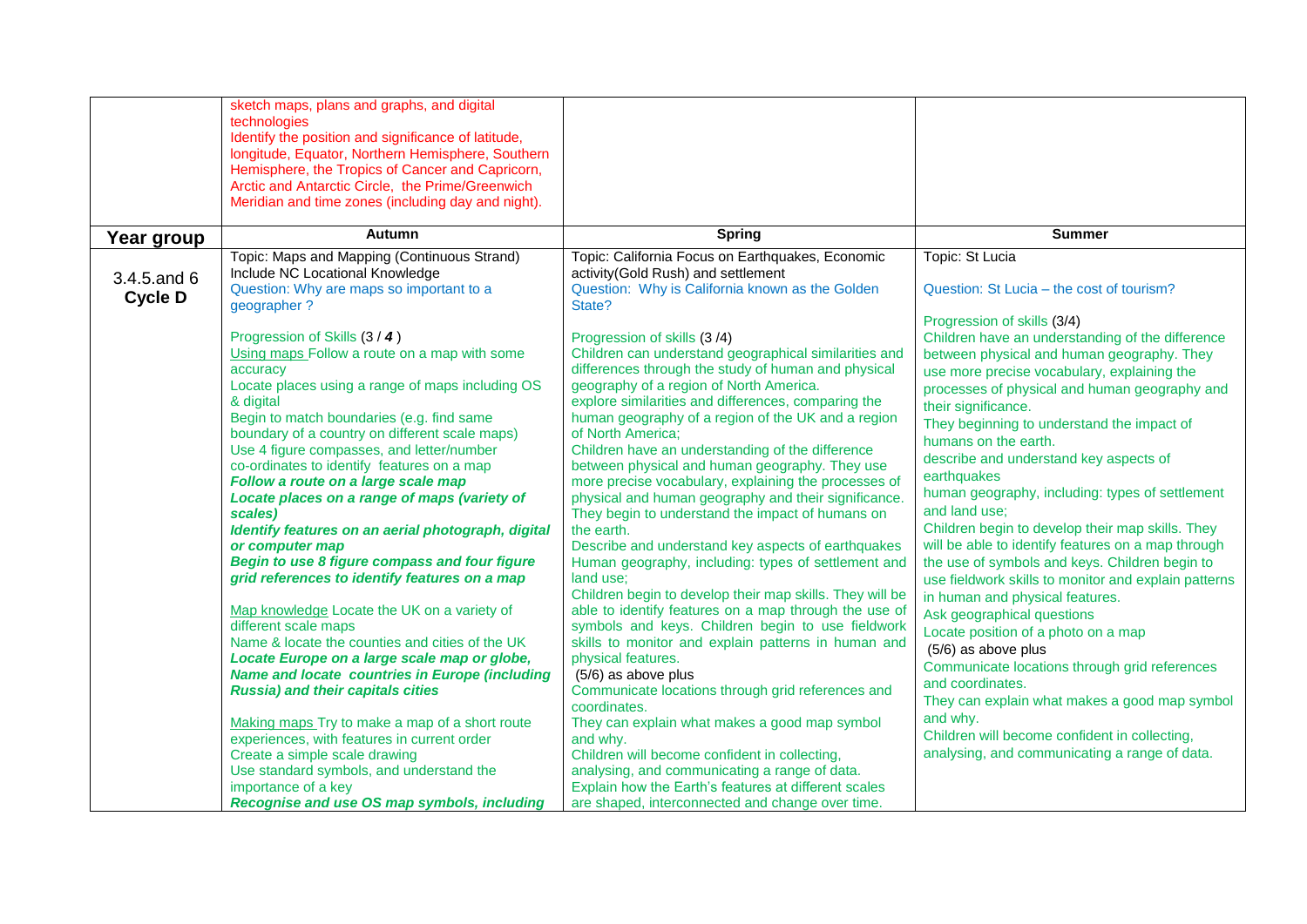|                               | sketch maps, plans and graphs, and digital<br>technologies<br>Identify the position and significance of latitude,<br>longitude, Equator, Northern Hemisphere, Southern<br>Hemisphere, the Tropics of Cancer and Capricorn,<br>Arctic and Antarctic Circle, the Prime/Greenwich<br>Meridian and time zones (including day and night).                                                                                                                                                                                                                                                                                                                                                                                                                                                                                                                                                                                                                                                                                                                                                                                                                                 |                                                                                                                                                                                                                                                                                                                                                                                                                                                                                                                                                                                                                                                                                                                                                                                                                                                                                                                                                                                                                                                                                                                                                                                                                                                                                                                                                                          |                                                                                                                                                                                                                                                                                                                                                                                                                                                                                                                                                                                                                                                                                                                                                                                                                                                                                                                                                                                                                                                |
|-------------------------------|----------------------------------------------------------------------------------------------------------------------------------------------------------------------------------------------------------------------------------------------------------------------------------------------------------------------------------------------------------------------------------------------------------------------------------------------------------------------------------------------------------------------------------------------------------------------------------------------------------------------------------------------------------------------------------------------------------------------------------------------------------------------------------------------------------------------------------------------------------------------------------------------------------------------------------------------------------------------------------------------------------------------------------------------------------------------------------------------------------------------------------------------------------------------|--------------------------------------------------------------------------------------------------------------------------------------------------------------------------------------------------------------------------------------------------------------------------------------------------------------------------------------------------------------------------------------------------------------------------------------------------------------------------------------------------------------------------------------------------------------------------------------------------------------------------------------------------------------------------------------------------------------------------------------------------------------------------------------------------------------------------------------------------------------------------------------------------------------------------------------------------------------------------------------------------------------------------------------------------------------------------------------------------------------------------------------------------------------------------------------------------------------------------------------------------------------------------------------------------------------------------------------------------------------------------|------------------------------------------------------------------------------------------------------------------------------------------------------------------------------------------------------------------------------------------------------------------------------------------------------------------------------------------------------------------------------------------------------------------------------------------------------------------------------------------------------------------------------------------------------------------------------------------------------------------------------------------------------------------------------------------------------------------------------------------------------------------------------------------------------------------------------------------------------------------------------------------------------------------------------------------------------------------------------------------------------------------------------------------------|
| Year group                    | <b>Autumn</b>                                                                                                                                                                                                                                                                                                                                                                                                                                                                                                                                                                                                                                                                                                                                                                                                                                                                                                                                                                                                                                                                                                                                                        | <b>Spring</b>                                                                                                                                                                                                                                                                                                                                                                                                                                                                                                                                                                                                                                                                                                                                                                                                                                                                                                                                                                                                                                                                                                                                                                                                                                                                                                                                                            | <b>Summer</b>                                                                                                                                                                                                                                                                                                                                                                                                                                                                                                                                                                                                                                                                                                                                                                                                                                                                                                                                                                                                                                  |
| 3.4.5 and 6<br><b>Cycle D</b> | Topic: Maps and Mapping (Continuous Strand)<br>Include NC Locational Knowledge<br>Question: Why are maps so important to a<br>geographer?                                                                                                                                                                                                                                                                                                                                                                                                                                                                                                                                                                                                                                                                                                                                                                                                                                                                                                                                                                                                                            | Topic: California Focus on Earthquakes, Economic<br>activity(Gold Rush) and settlement<br>Question: Why is California known as the Golden<br>State?                                                                                                                                                                                                                                                                                                                                                                                                                                                                                                                                                                                                                                                                                                                                                                                                                                                                                                                                                                                                                                                                                                                                                                                                                      | Topic: St Lucia<br>Question: St Lucia – the cost of tourism?                                                                                                                                                                                                                                                                                                                                                                                                                                                                                                                                                                                                                                                                                                                                                                                                                                                                                                                                                                                   |
|                               | Progression of Skills (3 / 4)<br>Using maps Follow a route on a map with some<br>accuracy<br>Locate places using a range of maps including OS<br>& digital<br>Begin to match boundaries (e.g. find same<br>boundary of a country on different scale maps)<br>Use 4 figure compasses, and letter/number<br>co-ordinates to identify features on a map<br>Follow a route on a large scale map<br>Locate places on a range of maps (variety of<br>scales)<br>Identify features on an aerial photograph, digital<br>or computer map<br>Begin to use 8 figure compass and four figure<br>grid references to identify features on a map<br>Map knowledge Locate the UK on a variety of<br>different scale maps<br>Name & locate the counties and cities of the UK<br>Locate Europe on a large scale map or globe,<br><b>Name and locate countries in Europe (including</b><br><b>Russia) and their capitals cities</b><br>Making maps Try to make a map of a short route<br>experiences, with features in current order<br>Create a simple scale drawing<br>Use standard symbols, and understand the<br>importance of a key<br>Recognise and use OS map symbols, including | Progression of skills (3/4)<br>Children can understand geographical similarities and<br>differences through the study of human and physical<br>geography of a region of North America.<br>explore similarities and differences, comparing the<br>human geography of a region of the UK and a region<br>of North America;<br>Children have an understanding of the difference<br>between physical and human geography. They use<br>more precise vocabulary, explaining the processes of<br>physical and human geography and their significance.<br>They begin to understand the impact of humans on<br>the earth.<br>Describe and understand key aspects of earthquakes<br>Human geography, including: types of settlement and<br>land use:<br>Children begin to develop their map skills. They will be<br>able to identify features on a map through the use of<br>symbols and keys. Children begin to use fieldwork<br>skills to monitor and explain patterns in human and<br>physical features.<br>(5/6) as above plus<br>Communicate locations through grid references and<br>coordinates.<br>They can explain what makes a good map symbol<br>and why.<br>Children will become confident in collecting,<br>analysing, and communicating a range of data.<br>Explain how the Earth's features at different scales<br>are shaped, interconnected and change over time. | Progression of skills (3/4)<br>Children have an understanding of the difference<br>between physical and human geography. They<br>use more precise vocabulary, explaining the<br>processes of physical and human geography and<br>their significance.<br>They beginning to understand the impact of<br>humans on the earth.<br>describe and understand key aspects of<br>earthquakes<br>human geography, including: types of settlement<br>and land use:<br>Children begin to develop their map skills. They<br>will be able to identify features on a map through<br>the use of symbols and keys. Children begin to<br>use fieldwork skills to monitor and explain patterns<br>in human and physical features.<br>Ask geographical questions<br>Locate position of a photo on a map<br>(5/6) as above plus<br>Communicate locations through grid references<br>and coordinates.<br>They can explain what makes a good map symbol<br>and why.<br>Children will become confident in collecting,<br>analysing, and communicating a range of data. |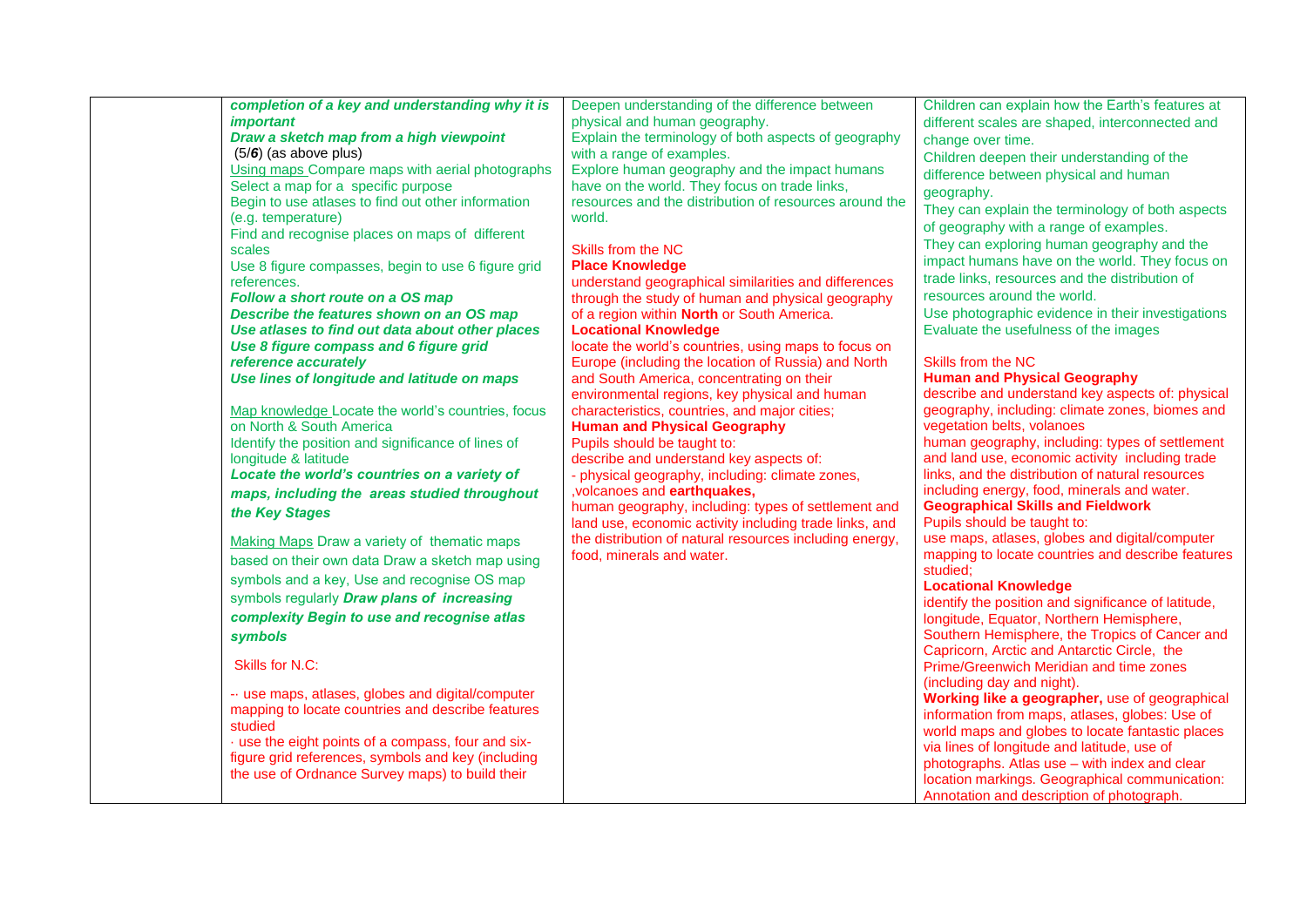| completion of a key and understanding why it is<br><i>important</i> | Deepen understanding of the difference between<br>physical and human geography. | Children can explain how the Earth's features at    |
|---------------------------------------------------------------------|---------------------------------------------------------------------------------|-----------------------------------------------------|
|                                                                     |                                                                                 | different scales are shaped, interconnected and     |
| Draw a sketch map from a high viewpoint                             | Explain the terminology of both aspects of geography                            | change over time.                                   |
| $(5/6)$ (as above plus)                                             | with a range of examples.                                                       | Children deepen their understanding of the          |
| Using maps Compare maps with aerial photographs                     | Explore human geography and the impact humans                                   | difference between physical and human               |
| Select a map for a specific purpose                                 | have on the world. They focus on trade links,                                   | geography.                                          |
| Begin to use atlases to find out other information                  | resources and the distribution of resources around the                          | They can explain the terminology of both aspects    |
| (e.g. temperature)                                                  | world.                                                                          | of geography with a range of examples.              |
| Find and recognise places on maps of different                      |                                                                                 |                                                     |
| scales                                                              | Skills from the NC                                                              | They can exploring human geography and the          |
| Use 8 figure compasses, begin to use 6 figure grid                  | <b>Place Knowledge</b>                                                          | impact humans have on the world. They focus on      |
| references.                                                         | understand geographical similarities and differences                            | trade links, resources and the distribution of      |
| Follow a short route on a OS map                                    | through the study of human and physical geography                               | resources around the world.                         |
| Describe the features shown on an OS map                            | of a region within North or South America.                                      | Use photographic evidence in their investigations   |
| Use atlases to find out data about other places                     | <b>Locational Knowledge</b>                                                     | Evaluate the usefulness of the images               |
| Use 8 figure compass and 6 figure grid                              | locate the world's countries, using maps to focus on                            |                                                     |
| reference accurately                                                | Europe (including the location of Russia) and North                             | Skills from the NC                                  |
| Use lines of longitude and latitude on maps                         | and South America, concentrating on their                                       | <b>Human and Physical Geography</b>                 |
|                                                                     | environmental regions, key physical and human                                   | describe and understand key aspects of: physical    |
| Map knowledge Locate the world's countries, focus                   | characteristics, countries, and major cities;                                   | geography, including: climate zones, biomes and     |
| on North & South America                                            | <b>Human and Physical Geography</b>                                             | vegetation belts, volanoes                          |
| Identify the position and significance of lines of                  | Pupils should be taught to:                                                     | human geography, including: types of settlement     |
| longitude & latitude                                                | describe and understand key aspects of:                                         | and land use, economic activity including trade     |
| Locate the world's countries on a variety of                        | - physical geography, including: climate zones,                                 | links, and the distribution of natural resources    |
|                                                                     | , volcanoes and earthquakes,                                                    | including energy, food, minerals and water.         |
| maps, including the areas studied throughout                        | human geography, including: types of settlement and                             | <b>Geographical Skills and Fieldwork</b>            |
| the Key Stages                                                      | land use, economic activity including trade links, and                          | Pupils should be taught to:                         |
|                                                                     | the distribution of natural resources including energy,                         | use maps, atlases, globes and digital/computer      |
| Making Maps Draw a variety of thematic maps                         | food, minerals and water.                                                       | mapping to locate countries and describe features   |
| based on their own data Draw a sketch map using                     |                                                                                 | studied;                                            |
| symbols and a key, Use and recognise OS map                         |                                                                                 | <b>Locational Knowledge</b>                         |
| symbols regularly Draw plans of increasing                          |                                                                                 | identify the position and significance of latitude, |
| complexity Begin to use and recognise atlas                         |                                                                                 | longitude, Equator, Northern Hemisphere,            |
|                                                                     |                                                                                 | Southern Hemisphere, the Tropics of Cancer and      |
| symbols                                                             |                                                                                 | Capricorn, Arctic and Antarctic Circle, the         |
| Skills for N.C:                                                     |                                                                                 | Prime/Greenwich Meridian and time zones             |
|                                                                     |                                                                                 | (including day and night).                          |
| - use maps, atlases, globes and digital/computer                    |                                                                                 | Working like a geographer, use of geographical      |
| mapping to locate countries and describe features                   |                                                                                 |                                                     |
| studied                                                             |                                                                                 | information from maps, atlases, globes: Use of      |
| · use the eight points of a compass, four and six-                  |                                                                                 | world maps and globes to locate fantastic places    |
| figure grid references, symbols and key (including                  |                                                                                 | via lines of longitude and latitude, use of         |
| the use of Ordnance Survey maps) to build their                     |                                                                                 | photographs. Atlas use - with index and clear       |
|                                                                     |                                                                                 | location markings. Geographical communication:      |
|                                                                     |                                                                                 | Annotation and description of photograph.           |